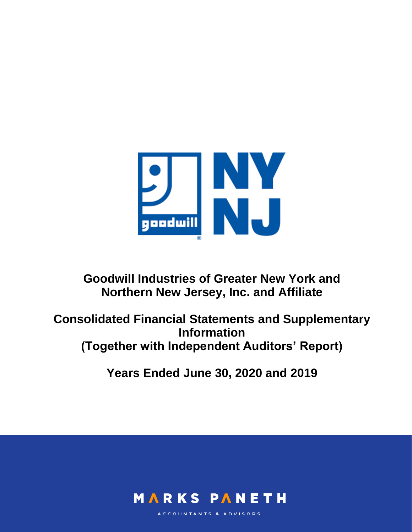

# **Goodwill Industries of Greater New York and Northern New Jersey, Inc. and Affiliate**

**Consolidated Financial Statements and Supplementary Information (Together with Independent Auditors' Report)**

**Years Ended June 30, 2020 and 2019**



ACCOUNTANTS & ADVISORS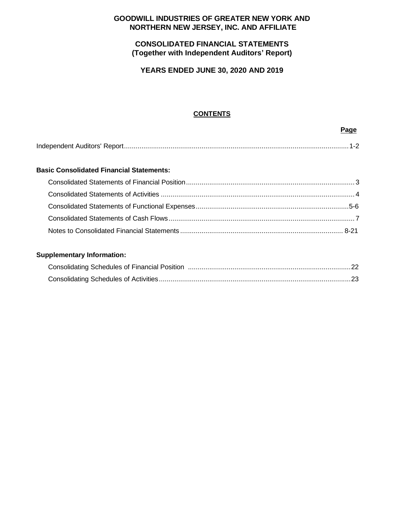# **GOODWILL INDUSTRIES OF GREATER NEW YORK AND NORTHERN NEW JERSEY, INC. AND AFFILIATE**

# **CONSOLIDATED FINANCIAL STATEMENTS (Together with Independent Auditors' Report)**

**YEARS ENDED JUNE 30, 2020 AND 2019**

# **CONTENTS**

#### **Page**

|--|--|--|

#### **Basic Consolidated Financial Statements:**

# **Supplementary Information:**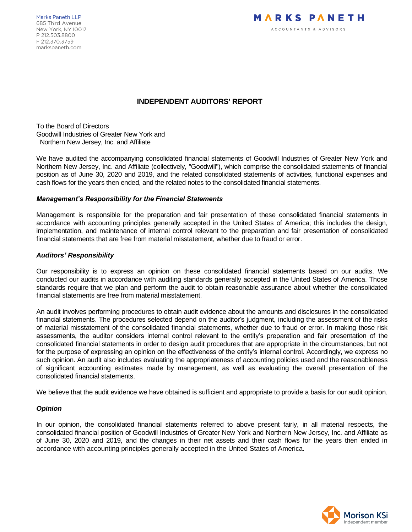Marks Paneth LLP 685 Third Avenue New York, NY 10017 P 212.503.8800 F 212.370.3759 markspaneth.com



# **INDEPENDENT AUDITORS' REPORT**

To the Board of Directors Goodwill Industries of Greater New York and Northern New Jersey, Inc. and Affiliate

We have audited the accompanying consolidated financial statements of Goodwill Industries of Greater New York and Northern New Jersey, Inc. and Affiliate (collectively, "Goodwill"), which comprise the consolidated statements of financial position as of June 30, 2020 and 2019, and the related consolidated statements of activities, functional expenses and cash flows for the years then ended, and the related notes to the consolidated financial statements.

#### *Management's Responsibility for the Financial Statements*

Management is responsible for the preparation and fair presentation of these consolidated financial statements in accordance with accounting principles generally accepted in the United States of America; this includes the design, implementation, and maintenance of internal control relevant to the preparation and fair presentation of consolidated financial statements that are free from material misstatement, whether due to fraud or error.

#### *Auditors' Responsibility*

Our responsibility is to express an opinion on these consolidated financial statements based on our audits. We conducted our audits in accordance with auditing standards generally accepted in the United States of America. Those standards require that we plan and perform the audit to obtain reasonable assurance about whether the consolidated financial statements are free from material misstatement.

An audit involves performing procedures to obtain audit evidence about the amounts and disclosures in the consolidated financial statements. The procedures selected depend on the auditor's judgment, including the assessment of the risks of material misstatement of the consolidated financial statements, whether due to fraud or error. In making those risk assessments, the auditor considers internal control relevant to the entity's preparation and fair presentation of the consolidated financial statements in order to design audit procedures that are appropriate in the circumstances, but not for the purpose of expressing an opinion on the effectiveness of the entity's internal control. Accordingly, we express no such opinion. An audit also includes evaluating the appropriateness of accounting policies used and the reasonableness of significant accounting estimates made by management, as well as evaluating the overall presentation of the consolidated financial statements.

We believe that the audit evidence we have obtained is sufficient and appropriate to provide a basis for our audit opinion.

#### *Opinion*

In our opinion, the consolidated financial statements referred to above present fairly, in all material respects, the consolidated financial position of Goodwill Industries of Greater New York and Northern New Jersey, Inc. and Affiliate as of June 30, 2020 and 2019, and the changes in their net assets and their cash flows for the years then ended in accordance with accounting principles generally accepted in the United States of America.

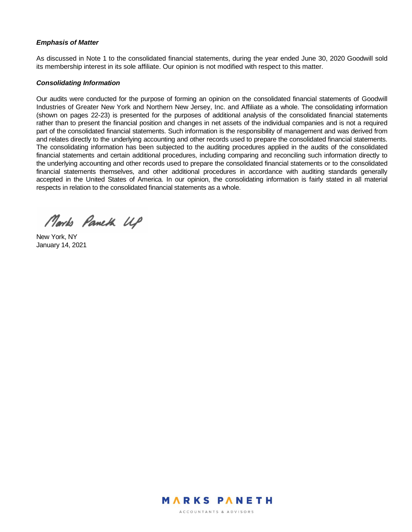#### *Emphasis of Matter*

As discussed in Note 1 to the consolidated financial statements, during the year ended June 30, 2020 Goodwill sold its membership interest in its sole affiliate. Our opinion is not modified with respect to this matter.

#### *Consolidating Information*

Our audits were conducted for the purpose of forming an opinion on the consolidated financial statements of Goodwill Industries of Greater New York and Northern New Jersey, Inc. and Affiliate as a whole. The consolidating information (shown on pages 22-23) is presented for the purposes of additional analysis of the consolidated financial statements rather than to present the financial position and changes in net assets of the individual companies and is not a required part of the consolidated financial statements. Such information is the responsibility of management and was derived from and relates directly to the underlying accounting and other records used to prepare the consolidated financial statements. The consolidating information has been subjected to the auditing procedures applied in the audits of the consolidated financial statements and certain additional procedures, including comparing and reconciling such information directly to the underlying accounting and other records used to prepare the consolidated financial statements or to the consolidated financial statements themselves, and other additional procedures in accordance with auditing standards generally accepted in the United States of America. In our opinion, the consolidating information is fairly stated in all material respects in relation to the consolidated financial statements as a whole.

Marks Paneth UP

New York, NY January 14, 2021

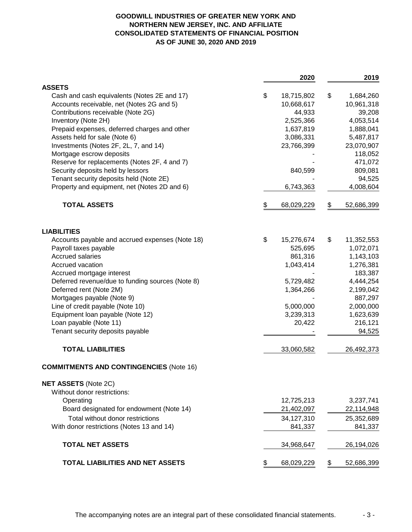### **GOODWILL INDUSTRIES OF GREATER NEW YORK AND NORTHERN NEW JERSEY, INC. AND AFFILIATE CONSOLIDATED STATEMENTS OF FINANCIAL POSITION AS OF JUNE 30, 2020 AND 2019**

|                                                                                 | 2020                 | 2019                 |
|---------------------------------------------------------------------------------|----------------------|----------------------|
| <b>ASSETS</b>                                                                   |                      |                      |
| Cash and cash equivalents (Notes 2E and 17)                                     | \$<br>18,715,802     | \$<br>1,684,260      |
| Accounts receivable, net (Notes 2G and 5)<br>Contributions receivable (Note 2G) | 10,668,617<br>44,933 | 10,961,318<br>39,208 |
| Inventory (Note 2H)                                                             | 2,525,366            | 4,053,514            |
| Prepaid expenses, deferred charges and other                                    | 1,637,819            | 1,888,041            |
| Assets held for sale (Note 6)                                                   | 3,086,331            | 5,487,817            |
| Investments (Notes 2F, 2L, 7, and 14)                                           | 23,766,399           | 23,070,907           |
| Mortgage escrow deposits                                                        |                      | 118,052              |
| Reserve for replacements (Notes 2F, 4 and 7)                                    |                      | 471,072              |
| Security deposits held by lessors                                               | 840,599              | 809,081              |
| Tenant security deposits held (Note 2E)                                         |                      | 94,525               |
| Property and equipment, net (Notes 2D and 6)                                    | 6,743,363            | 4,008,604            |
| <b>TOTAL ASSETS</b>                                                             | \$<br>68,029,229     | \$<br>52,686,399     |
| <b>LIABILITIES</b>                                                              |                      |                      |
| Accounts payable and accrued expenses (Note 18)                                 | \$<br>15,276,674     | \$<br>11,352,553     |
| Payroll taxes payable                                                           | 525,695              | 1,072,071            |
| <b>Accrued salaries</b>                                                         | 861,316              | 1,143,103            |
| Accrued vacation                                                                | 1,043,414            | 1,276,381            |
| Accrued mortgage interest                                                       |                      | 183,387              |
| Deferred revenue/due to funding sources (Note 8)                                | 5,729,482            | 4,444,254            |
| Deferred rent (Note 2M)                                                         | 1,364,266            | 2,199,042            |
| Mortgages payable (Note 9)                                                      |                      | 887,297              |
| Line of credit payable (Note 10)                                                | 5,000,000            | 2,000,000            |
| Equipment loan payable (Note 12)                                                | 3,239,313            | 1,623,639            |
| Loan payable (Note 11)                                                          | 20,422               | 216,121              |
| Tenant security deposits payable                                                |                      | 94,525               |
| <b>TOTAL LIABILITIES</b>                                                        | 33,060,582           | 26,492,373           |
| <b>COMMITMENTS AND CONTINGENCIES (Note 16)</b>                                  |                      |                      |
| <b>NET ASSETS (Note 2C)</b>                                                     |                      |                      |
| Without donor restrictions:                                                     |                      |                      |
| Operating                                                                       | 12,725,213           | 3,237,741            |
| Board designated for endowment (Note 14)                                        | 21,402,097           | 22,114,948           |
| Total without donor restrictions                                                | 34,127,310           | 25,352,689           |
| With donor restrictions (Notes 13 and 14)                                       | 841,337              | 841,337              |
| <b>TOTAL NET ASSETS</b>                                                         | 34,968,647           | 26,194,026           |
| TOTAL LIABILITIES AND NET ASSETS                                                | \$<br>68,029,229     | \$<br>52,686,399     |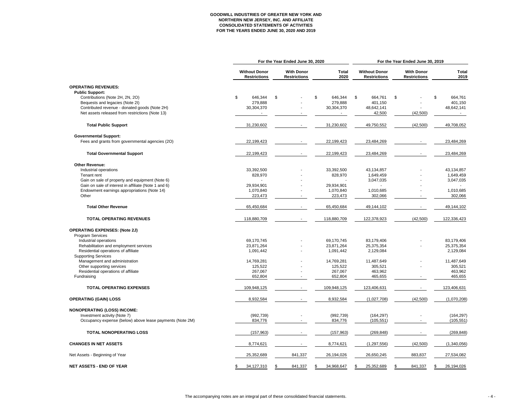# **GOODWILL INDUSTRIES OF GREATER NEW YORK AND NORTHERN NEW JERSEY, INC. AND AFFILIATE CONSOLIDATED STATEMENTS OF ACTIVITIES FOR THE YEARS ENDED JUNE 30, 2020 AND 2019**

| <b>With Donor</b><br><b>Without Donor</b><br><b>Total</b><br><b>Without Donor</b><br><b>With Donor</b><br><b>Total</b><br>2020<br>2019<br><b>Restrictions</b><br><b>Restrictions</b><br><b>Restrictions</b><br><b>Restrictions</b><br><b>OPERATING REVENUES:</b><br><b>Public Support:</b><br>\$<br>\$<br>\$<br>\$<br>Contributions (Note 2H, 2N, 2O)<br>646,344<br>$\frac{1}{2}$<br>646,344<br>\$<br>664,761<br>664,761<br>Bequests and legacies (Note 2I)<br>279,888<br>279,888<br>401,150<br>401,150<br>Contributed revenue - donated goods (Note 2H)<br>30,304,370<br>30,304,370<br>48,642,141<br>48,642,141<br>Net assets released from restrictions (Note 13)<br>(42, 500)<br>42,500<br>$\sim$<br>$\sim$<br><b>Total Public Support</b><br>49,750,552<br>(42,500)<br>49,708,052<br>31,230,602<br>31,230,602<br><b>Governmental Support:</b><br>Fees and grants from governmental agencies (20)<br>22,199,423<br>22,199,423<br>23,484,269<br>23,484,269<br><b>Total Governmental Support</b><br>22,199,423<br>22,199,423<br>23,484,269<br>23,484,269<br><b>Other Revenue:</b><br>Industrial operations<br>33,392,500<br>33,392,500<br>43,134,857<br>43,134,857<br>828,970<br>828,970<br>1,649,459<br>1,649,459<br>Tenant rent<br>Gain on sale of property and equipment (Note 6)<br>3,047,035<br>3,047,035<br>Gain on sale of interest in affiliate (Note 1 and 6)<br>29,934,901<br>29,934,901<br>Endowment earnings appropriations (Note 14)<br>1,010,685<br>1,070,840<br>1,070,840<br>1,010,685<br>Other<br>223,473<br>223,473<br>302,066<br>302,066<br><b>Total Other Revenue</b><br>65,450,684<br>65,450,684<br>49,144,102<br>49,144,102<br><b>TOTAL OPERATING REVENUES</b><br>118,880,709<br>118,880,709<br>122,378,923<br>(42,500)<br>122,336,423<br><b>OPERATING EXPENSES: (Note 2J)</b><br><b>Program Services</b><br>Industrial operations<br>69,170,745<br>83,179,406<br>83,179,406<br>69,170,745<br>Rehabilitation and employment services<br>23,871,264<br>23,871,264<br>25,375,354<br>25,375,354<br>2,129,084<br>Residential operations of affiliate<br>1,091,442<br>1,091,442<br>2,129,084<br><b>Supporting Services</b><br>Management and administration<br>14,769,281<br>14,769,281<br>11,487,649<br>11,487,649<br>Other supporting services<br>305,521<br>125,522<br>125,522<br>305,521<br>Residential operations of affiliate<br>463,962<br>267,067<br>267,067<br>463,962<br>Fundraising<br>652,804<br>652,804<br>465,655<br>465,655<br><b>TOTAL OPERATING EXPENSES</b><br>123,406,631<br>123,406,631<br>109,948,125<br>109,948,125<br><b>OPERATING (GAIN) LOSS</b><br>8,932,584<br>8,932,584<br>(1,027,708)<br>(42,500)<br>(1,070,208)<br><b>NONOPERATING (LOSS) INCOME:</b><br>Investment activity (Note 7)<br>(992, 739)<br>(992, 739)<br>(164, 297)<br>(164, 297)<br>Occupancy expense (below) above lease payments (Note 2M)<br>(105, 551)<br>834,776<br>834,776<br>(105, 551)<br><b>TOTAL NONOPERATING LOSS</b><br>(157, 963)<br>(157, 963)<br>(269, 848)<br>(269, 848)<br><b>CHANGES IN NET ASSETS</b><br>8,774,621<br>8,774,621<br>(1, 297, 556)<br>(42,500)<br>(1,340,056)<br>25,352,689<br>841,337<br>26,194,026<br>26,650,245<br>883,837<br>27,534,082<br>Net Assets - Beginning of Year<br><b>NET ASSETS - END OF YEAR</b><br>34,127,310<br>26,194,026<br>841,337<br>34,968,647<br>25,352,689<br>841,337<br>-SS<br>\$. |  | For the Year Ended June 30, 2020 |  |  |  |  |  |  | For the Year Ended June 30, 2019 |  |  |  |  |  |
|-----------------------------------------------------------------------------------------------------------------------------------------------------------------------------------------------------------------------------------------------------------------------------------------------------------------------------------------------------------------------------------------------------------------------------------------------------------------------------------------------------------------------------------------------------------------------------------------------------------------------------------------------------------------------------------------------------------------------------------------------------------------------------------------------------------------------------------------------------------------------------------------------------------------------------------------------------------------------------------------------------------------------------------------------------------------------------------------------------------------------------------------------------------------------------------------------------------------------------------------------------------------------------------------------------------------------------------------------------------------------------------------------------------------------------------------------------------------------------------------------------------------------------------------------------------------------------------------------------------------------------------------------------------------------------------------------------------------------------------------------------------------------------------------------------------------------------------------------------------------------------------------------------------------------------------------------------------------------------------------------------------------------------------------------------------------------------------------------------------------------------------------------------------------------------------------------------------------------------------------------------------------------------------------------------------------------------------------------------------------------------------------------------------------------------------------------------------------------------------------------------------------------------------------------------------------------------------------------------------------------------------------------------------------------------------------------------------------------------------------------------------------------------------------------------------------------------------------------------------------------------------------------------------------------------------------------------------------------------------------------------------------------------------------------------------------------------------------------------------------------------------------------------------------------------------------------------------------------------------------------------------------------------------------------------------------------------------------------------------|--|----------------------------------|--|--|--|--|--|--|----------------------------------|--|--|--|--|--|
|                                                                                                                                                                                                                                                                                                                                                                                                                                                                                                                                                                                                                                                                                                                                                                                                                                                                                                                                                                                                                                                                                                                                                                                                                                                                                                                                                                                                                                                                                                                                                                                                                                                                                                                                                                                                                                                                                                                                                                                                                                                                                                                                                                                                                                                                                                                                                                                                                                                                                                                                                                                                                                                                                                                                                                                                                                                                                                                                                                                                                                                                                                                                                                                                                                                                                                                                                           |  |                                  |  |  |  |  |  |  |                                  |  |  |  |  |  |
|                                                                                                                                                                                                                                                                                                                                                                                                                                                                                                                                                                                                                                                                                                                                                                                                                                                                                                                                                                                                                                                                                                                                                                                                                                                                                                                                                                                                                                                                                                                                                                                                                                                                                                                                                                                                                                                                                                                                                                                                                                                                                                                                                                                                                                                                                                                                                                                                                                                                                                                                                                                                                                                                                                                                                                                                                                                                                                                                                                                                                                                                                                                                                                                                                                                                                                                                                           |  |                                  |  |  |  |  |  |  |                                  |  |  |  |  |  |
|                                                                                                                                                                                                                                                                                                                                                                                                                                                                                                                                                                                                                                                                                                                                                                                                                                                                                                                                                                                                                                                                                                                                                                                                                                                                                                                                                                                                                                                                                                                                                                                                                                                                                                                                                                                                                                                                                                                                                                                                                                                                                                                                                                                                                                                                                                                                                                                                                                                                                                                                                                                                                                                                                                                                                                                                                                                                                                                                                                                                                                                                                                                                                                                                                                                                                                                                                           |  |                                  |  |  |  |  |  |  |                                  |  |  |  |  |  |
|                                                                                                                                                                                                                                                                                                                                                                                                                                                                                                                                                                                                                                                                                                                                                                                                                                                                                                                                                                                                                                                                                                                                                                                                                                                                                                                                                                                                                                                                                                                                                                                                                                                                                                                                                                                                                                                                                                                                                                                                                                                                                                                                                                                                                                                                                                                                                                                                                                                                                                                                                                                                                                                                                                                                                                                                                                                                                                                                                                                                                                                                                                                                                                                                                                                                                                                                                           |  |                                  |  |  |  |  |  |  |                                  |  |  |  |  |  |
|                                                                                                                                                                                                                                                                                                                                                                                                                                                                                                                                                                                                                                                                                                                                                                                                                                                                                                                                                                                                                                                                                                                                                                                                                                                                                                                                                                                                                                                                                                                                                                                                                                                                                                                                                                                                                                                                                                                                                                                                                                                                                                                                                                                                                                                                                                                                                                                                                                                                                                                                                                                                                                                                                                                                                                                                                                                                                                                                                                                                                                                                                                                                                                                                                                                                                                                                                           |  |                                  |  |  |  |  |  |  |                                  |  |  |  |  |  |
|                                                                                                                                                                                                                                                                                                                                                                                                                                                                                                                                                                                                                                                                                                                                                                                                                                                                                                                                                                                                                                                                                                                                                                                                                                                                                                                                                                                                                                                                                                                                                                                                                                                                                                                                                                                                                                                                                                                                                                                                                                                                                                                                                                                                                                                                                                                                                                                                                                                                                                                                                                                                                                                                                                                                                                                                                                                                                                                                                                                                                                                                                                                                                                                                                                                                                                                                                           |  |                                  |  |  |  |  |  |  |                                  |  |  |  |  |  |
|                                                                                                                                                                                                                                                                                                                                                                                                                                                                                                                                                                                                                                                                                                                                                                                                                                                                                                                                                                                                                                                                                                                                                                                                                                                                                                                                                                                                                                                                                                                                                                                                                                                                                                                                                                                                                                                                                                                                                                                                                                                                                                                                                                                                                                                                                                                                                                                                                                                                                                                                                                                                                                                                                                                                                                                                                                                                                                                                                                                                                                                                                                                                                                                                                                                                                                                                                           |  |                                  |  |  |  |  |  |  |                                  |  |  |  |  |  |
|                                                                                                                                                                                                                                                                                                                                                                                                                                                                                                                                                                                                                                                                                                                                                                                                                                                                                                                                                                                                                                                                                                                                                                                                                                                                                                                                                                                                                                                                                                                                                                                                                                                                                                                                                                                                                                                                                                                                                                                                                                                                                                                                                                                                                                                                                                                                                                                                                                                                                                                                                                                                                                                                                                                                                                                                                                                                                                                                                                                                                                                                                                                                                                                                                                                                                                                                                           |  |                                  |  |  |  |  |  |  |                                  |  |  |  |  |  |
|                                                                                                                                                                                                                                                                                                                                                                                                                                                                                                                                                                                                                                                                                                                                                                                                                                                                                                                                                                                                                                                                                                                                                                                                                                                                                                                                                                                                                                                                                                                                                                                                                                                                                                                                                                                                                                                                                                                                                                                                                                                                                                                                                                                                                                                                                                                                                                                                                                                                                                                                                                                                                                                                                                                                                                                                                                                                                                                                                                                                                                                                                                                                                                                                                                                                                                                                                           |  |                                  |  |  |  |  |  |  |                                  |  |  |  |  |  |
|                                                                                                                                                                                                                                                                                                                                                                                                                                                                                                                                                                                                                                                                                                                                                                                                                                                                                                                                                                                                                                                                                                                                                                                                                                                                                                                                                                                                                                                                                                                                                                                                                                                                                                                                                                                                                                                                                                                                                                                                                                                                                                                                                                                                                                                                                                                                                                                                                                                                                                                                                                                                                                                                                                                                                                                                                                                                                                                                                                                                                                                                                                                                                                                                                                                                                                                                                           |  |                                  |  |  |  |  |  |  |                                  |  |  |  |  |  |
|                                                                                                                                                                                                                                                                                                                                                                                                                                                                                                                                                                                                                                                                                                                                                                                                                                                                                                                                                                                                                                                                                                                                                                                                                                                                                                                                                                                                                                                                                                                                                                                                                                                                                                                                                                                                                                                                                                                                                                                                                                                                                                                                                                                                                                                                                                                                                                                                                                                                                                                                                                                                                                                                                                                                                                                                                                                                                                                                                                                                                                                                                                                                                                                                                                                                                                                                                           |  |                                  |  |  |  |  |  |  |                                  |  |  |  |  |  |
|                                                                                                                                                                                                                                                                                                                                                                                                                                                                                                                                                                                                                                                                                                                                                                                                                                                                                                                                                                                                                                                                                                                                                                                                                                                                                                                                                                                                                                                                                                                                                                                                                                                                                                                                                                                                                                                                                                                                                                                                                                                                                                                                                                                                                                                                                                                                                                                                                                                                                                                                                                                                                                                                                                                                                                                                                                                                                                                                                                                                                                                                                                                                                                                                                                                                                                                                                           |  |                                  |  |  |  |  |  |  |                                  |  |  |  |  |  |
|                                                                                                                                                                                                                                                                                                                                                                                                                                                                                                                                                                                                                                                                                                                                                                                                                                                                                                                                                                                                                                                                                                                                                                                                                                                                                                                                                                                                                                                                                                                                                                                                                                                                                                                                                                                                                                                                                                                                                                                                                                                                                                                                                                                                                                                                                                                                                                                                                                                                                                                                                                                                                                                                                                                                                                                                                                                                                                                                                                                                                                                                                                                                                                                                                                                                                                                                                           |  |                                  |  |  |  |  |  |  |                                  |  |  |  |  |  |
|                                                                                                                                                                                                                                                                                                                                                                                                                                                                                                                                                                                                                                                                                                                                                                                                                                                                                                                                                                                                                                                                                                                                                                                                                                                                                                                                                                                                                                                                                                                                                                                                                                                                                                                                                                                                                                                                                                                                                                                                                                                                                                                                                                                                                                                                                                                                                                                                                                                                                                                                                                                                                                                                                                                                                                                                                                                                                                                                                                                                                                                                                                                                                                                                                                                                                                                                                           |  |                                  |  |  |  |  |  |  |                                  |  |  |  |  |  |
|                                                                                                                                                                                                                                                                                                                                                                                                                                                                                                                                                                                                                                                                                                                                                                                                                                                                                                                                                                                                                                                                                                                                                                                                                                                                                                                                                                                                                                                                                                                                                                                                                                                                                                                                                                                                                                                                                                                                                                                                                                                                                                                                                                                                                                                                                                                                                                                                                                                                                                                                                                                                                                                                                                                                                                                                                                                                                                                                                                                                                                                                                                                                                                                                                                                                                                                                                           |  |                                  |  |  |  |  |  |  |                                  |  |  |  |  |  |
|                                                                                                                                                                                                                                                                                                                                                                                                                                                                                                                                                                                                                                                                                                                                                                                                                                                                                                                                                                                                                                                                                                                                                                                                                                                                                                                                                                                                                                                                                                                                                                                                                                                                                                                                                                                                                                                                                                                                                                                                                                                                                                                                                                                                                                                                                                                                                                                                                                                                                                                                                                                                                                                                                                                                                                                                                                                                                                                                                                                                                                                                                                                                                                                                                                                                                                                                                           |  |                                  |  |  |  |  |  |  |                                  |  |  |  |  |  |
|                                                                                                                                                                                                                                                                                                                                                                                                                                                                                                                                                                                                                                                                                                                                                                                                                                                                                                                                                                                                                                                                                                                                                                                                                                                                                                                                                                                                                                                                                                                                                                                                                                                                                                                                                                                                                                                                                                                                                                                                                                                                                                                                                                                                                                                                                                                                                                                                                                                                                                                                                                                                                                                                                                                                                                                                                                                                                                                                                                                                                                                                                                                                                                                                                                                                                                                                                           |  |                                  |  |  |  |  |  |  |                                  |  |  |  |  |  |
|                                                                                                                                                                                                                                                                                                                                                                                                                                                                                                                                                                                                                                                                                                                                                                                                                                                                                                                                                                                                                                                                                                                                                                                                                                                                                                                                                                                                                                                                                                                                                                                                                                                                                                                                                                                                                                                                                                                                                                                                                                                                                                                                                                                                                                                                                                                                                                                                                                                                                                                                                                                                                                                                                                                                                                                                                                                                                                                                                                                                                                                                                                                                                                                                                                                                                                                                                           |  |                                  |  |  |  |  |  |  |                                  |  |  |  |  |  |
|                                                                                                                                                                                                                                                                                                                                                                                                                                                                                                                                                                                                                                                                                                                                                                                                                                                                                                                                                                                                                                                                                                                                                                                                                                                                                                                                                                                                                                                                                                                                                                                                                                                                                                                                                                                                                                                                                                                                                                                                                                                                                                                                                                                                                                                                                                                                                                                                                                                                                                                                                                                                                                                                                                                                                                                                                                                                                                                                                                                                                                                                                                                                                                                                                                                                                                                                                           |  |                                  |  |  |  |  |  |  |                                  |  |  |  |  |  |
|                                                                                                                                                                                                                                                                                                                                                                                                                                                                                                                                                                                                                                                                                                                                                                                                                                                                                                                                                                                                                                                                                                                                                                                                                                                                                                                                                                                                                                                                                                                                                                                                                                                                                                                                                                                                                                                                                                                                                                                                                                                                                                                                                                                                                                                                                                                                                                                                                                                                                                                                                                                                                                                                                                                                                                                                                                                                                                                                                                                                                                                                                                                                                                                                                                                                                                                                                           |  |                                  |  |  |  |  |  |  |                                  |  |  |  |  |  |
|                                                                                                                                                                                                                                                                                                                                                                                                                                                                                                                                                                                                                                                                                                                                                                                                                                                                                                                                                                                                                                                                                                                                                                                                                                                                                                                                                                                                                                                                                                                                                                                                                                                                                                                                                                                                                                                                                                                                                                                                                                                                                                                                                                                                                                                                                                                                                                                                                                                                                                                                                                                                                                                                                                                                                                                                                                                                                                                                                                                                                                                                                                                                                                                                                                                                                                                                                           |  |                                  |  |  |  |  |  |  |                                  |  |  |  |  |  |
|                                                                                                                                                                                                                                                                                                                                                                                                                                                                                                                                                                                                                                                                                                                                                                                                                                                                                                                                                                                                                                                                                                                                                                                                                                                                                                                                                                                                                                                                                                                                                                                                                                                                                                                                                                                                                                                                                                                                                                                                                                                                                                                                                                                                                                                                                                                                                                                                                                                                                                                                                                                                                                                                                                                                                                                                                                                                                                                                                                                                                                                                                                                                                                                                                                                                                                                                                           |  |                                  |  |  |  |  |  |  |                                  |  |  |  |  |  |
|                                                                                                                                                                                                                                                                                                                                                                                                                                                                                                                                                                                                                                                                                                                                                                                                                                                                                                                                                                                                                                                                                                                                                                                                                                                                                                                                                                                                                                                                                                                                                                                                                                                                                                                                                                                                                                                                                                                                                                                                                                                                                                                                                                                                                                                                                                                                                                                                                                                                                                                                                                                                                                                                                                                                                                                                                                                                                                                                                                                                                                                                                                                                                                                                                                                                                                                                                           |  |                                  |  |  |  |  |  |  |                                  |  |  |  |  |  |
|                                                                                                                                                                                                                                                                                                                                                                                                                                                                                                                                                                                                                                                                                                                                                                                                                                                                                                                                                                                                                                                                                                                                                                                                                                                                                                                                                                                                                                                                                                                                                                                                                                                                                                                                                                                                                                                                                                                                                                                                                                                                                                                                                                                                                                                                                                                                                                                                                                                                                                                                                                                                                                                                                                                                                                                                                                                                                                                                                                                                                                                                                                                                                                                                                                                                                                                                                           |  |                                  |  |  |  |  |  |  |                                  |  |  |  |  |  |
|                                                                                                                                                                                                                                                                                                                                                                                                                                                                                                                                                                                                                                                                                                                                                                                                                                                                                                                                                                                                                                                                                                                                                                                                                                                                                                                                                                                                                                                                                                                                                                                                                                                                                                                                                                                                                                                                                                                                                                                                                                                                                                                                                                                                                                                                                                                                                                                                                                                                                                                                                                                                                                                                                                                                                                                                                                                                                                                                                                                                                                                                                                                                                                                                                                                                                                                                                           |  |                                  |  |  |  |  |  |  |                                  |  |  |  |  |  |
|                                                                                                                                                                                                                                                                                                                                                                                                                                                                                                                                                                                                                                                                                                                                                                                                                                                                                                                                                                                                                                                                                                                                                                                                                                                                                                                                                                                                                                                                                                                                                                                                                                                                                                                                                                                                                                                                                                                                                                                                                                                                                                                                                                                                                                                                                                                                                                                                                                                                                                                                                                                                                                                                                                                                                                                                                                                                                                                                                                                                                                                                                                                                                                                                                                                                                                                                                           |  |                                  |  |  |  |  |  |  |                                  |  |  |  |  |  |
|                                                                                                                                                                                                                                                                                                                                                                                                                                                                                                                                                                                                                                                                                                                                                                                                                                                                                                                                                                                                                                                                                                                                                                                                                                                                                                                                                                                                                                                                                                                                                                                                                                                                                                                                                                                                                                                                                                                                                                                                                                                                                                                                                                                                                                                                                                                                                                                                                                                                                                                                                                                                                                                                                                                                                                                                                                                                                                                                                                                                                                                                                                                                                                                                                                                                                                                                                           |  |                                  |  |  |  |  |  |  |                                  |  |  |  |  |  |
|                                                                                                                                                                                                                                                                                                                                                                                                                                                                                                                                                                                                                                                                                                                                                                                                                                                                                                                                                                                                                                                                                                                                                                                                                                                                                                                                                                                                                                                                                                                                                                                                                                                                                                                                                                                                                                                                                                                                                                                                                                                                                                                                                                                                                                                                                                                                                                                                                                                                                                                                                                                                                                                                                                                                                                                                                                                                                                                                                                                                                                                                                                                                                                                                                                                                                                                                                           |  |                                  |  |  |  |  |  |  |                                  |  |  |  |  |  |
|                                                                                                                                                                                                                                                                                                                                                                                                                                                                                                                                                                                                                                                                                                                                                                                                                                                                                                                                                                                                                                                                                                                                                                                                                                                                                                                                                                                                                                                                                                                                                                                                                                                                                                                                                                                                                                                                                                                                                                                                                                                                                                                                                                                                                                                                                                                                                                                                                                                                                                                                                                                                                                                                                                                                                                                                                                                                                                                                                                                                                                                                                                                                                                                                                                                                                                                                                           |  |                                  |  |  |  |  |  |  |                                  |  |  |  |  |  |
|                                                                                                                                                                                                                                                                                                                                                                                                                                                                                                                                                                                                                                                                                                                                                                                                                                                                                                                                                                                                                                                                                                                                                                                                                                                                                                                                                                                                                                                                                                                                                                                                                                                                                                                                                                                                                                                                                                                                                                                                                                                                                                                                                                                                                                                                                                                                                                                                                                                                                                                                                                                                                                                                                                                                                                                                                                                                                                                                                                                                                                                                                                                                                                                                                                                                                                                                                           |  |                                  |  |  |  |  |  |  |                                  |  |  |  |  |  |
|                                                                                                                                                                                                                                                                                                                                                                                                                                                                                                                                                                                                                                                                                                                                                                                                                                                                                                                                                                                                                                                                                                                                                                                                                                                                                                                                                                                                                                                                                                                                                                                                                                                                                                                                                                                                                                                                                                                                                                                                                                                                                                                                                                                                                                                                                                                                                                                                                                                                                                                                                                                                                                                                                                                                                                                                                                                                                                                                                                                                                                                                                                                                                                                                                                                                                                                                                           |  |                                  |  |  |  |  |  |  |                                  |  |  |  |  |  |
|                                                                                                                                                                                                                                                                                                                                                                                                                                                                                                                                                                                                                                                                                                                                                                                                                                                                                                                                                                                                                                                                                                                                                                                                                                                                                                                                                                                                                                                                                                                                                                                                                                                                                                                                                                                                                                                                                                                                                                                                                                                                                                                                                                                                                                                                                                                                                                                                                                                                                                                                                                                                                                                                                                                                                                                                                                                                                                                                                                                                                                                                                                                                                                                                                                                                                                                                                           |  |                                  |  |  |  |  |  |  |                                  |  |  |  |  |  |
|                                                                                                                                                                                                                                                                                                                                                                                                                                                                                                                                                                                                                                                                                                                                                                                                                                                                                                                                                                                                                                                                                                                                                                                                                                                                                                                                                                                                                                                                                                                                                                                                                                                                                                                                                                                                                                                                                                                                                                                                                                                                                                                                                                                                                                                                                                                                                                                                                                                                                                                                                                                                                                                                                                                                                                                                                                                                                                                                                                                                                                                                                                                                                                                                                                                                                                                                                           |  |                                  |  |  |  |  |  |  |                                  |  |  |  |  |  |
|                                                                                                                                                                                                                                                                                                                                                                                                                                                                                                                                                                                                                                                                                                                                                                                                                                                                                                                                                                                                                                                                                                                                                                                                                                                                                                                                                                                                                                                                                                                                                                                                                                                                                                                                                                                                                                                                                                                                                                                                                                                                                                                                                                                                                                                                                                                                                                                                                                                                                                                                                                                                                                                                                                                                                                                                                                                                                                                                                                                                                                                                                                                                                                                                                                                                                                                                                           |  |                                  |  |  |  |  |  |  |                                  |  |  |  |  |  |
|                                                                                                                                                                                                                                                                                                                                                                                                                                                                                                                                                                                                                                                                                                                                                                                                                                                                                                                                                                                                                                                                                                                                                                                                                                                                                                                                                                                                                                                                                                                                                                                                                                                                                                                                                                                                                                                                                                                                                                                                                                                                                                                                                                                                                                                                                                                                                                                                                                                                                                                                                                                                                                                                                                                                                                                                                                                                                                                                                                                                                                                                                                                                                                                                                                                                                                                                                           |  |                                  |  |  |  |  |  |  |                                  |  |  |  |  |  |
|                                                                                                                                                                                                                                                                                                                                                                                                                                                                                                                                                                                                                                                                                                                                                                                                                                                                                                                                                                                                                                                                                                                                                                                                                                                                                                                                                                                                                                                                                                                                                                                                                                                                                                                                                                                                                                                                                                                                                                                                                                                                                                                                                                                                                                                                                                                                                                                                                                                                                                                                                                                                                                                                                                                                                                                                                                                                                                                                                                                                                                                                                                                                                                                                                                                                                                                                                           |  |                                  |  |  |  |  |  |  |                                  |  |  |  |  |  |
|                                                                                                                                                                                                                                                                                                                                                                                                                                                                                                                                                                                                                                                                                                                                                                                                                                                                                                                                                                                                                                                                                                                                                                                                                                                                                                                                                                                                                                                                                                                                                                                                                                                                                                                                                                                                                                                                                                                                                                                                                                                                                                                                                                                                                                                                                                                                                                                                                                                                                                                                                                                                                                                                                                                                                                                                                                                                                                                                                                                                                                                                                                                                                                                                                                                                                                                                                           |  |                                  |  |  |  |  |  |  |                                  |  |  |  |  |  |
|                                                                                                                                                                                                                                                                                                                                                                                                                                                                                                                                                                                                                                                                                                                                                                                                                                                                                                                                                                                                                                                                                                                                                                                                                                                                                                                                                                                                                                                                                                                                                                                                                                                                                                                                                                                                                                                                                                                                                                                                                                                                                                                                                                                                                                                                                                                                                                                                                                                                                                                                                                                                                                                                                                                                                                                                                                                                                                                                                                                                                                                                                                                                                                                                                                                                                                                                                           |  |                                  |  |  |  |  |  |  |                                  |  |  |  |  |  |
|                                                                                                                                                                                                                                                                                                                                                                                                                                                                                                                                                                                                                                                                                                                                                                                                                                                                                                                                                                                                                                                                                                                                                                                                                                                                                                                                                                                                                                                                                                                                                                                                                                                                                                                                                                                                                                                                                                                                                                                                                                                                                                                                                                                                                                                                                                                                                                                                                                                                                                                                                                                                                                                                                                                                                                                                                                                                                                                                                                                                                                                                                                                                                                                                                                                                                                                                                           |  |                                  |  |  |  |  |  |  |                                  |  |  |  |  |  |
|                                                                                                                                                                                                                                                                                                                                                                                                                                                                                                                                                                                                                                                                                                                                                                                                                                                                                                                                                                                                                                                                                                                                                                                                                                                                                                                                                                                                                                                                                                                                                                                                                                                                                                                                                                                                                                                                                                                                                                                                                                                                                                                                                                                                                                                                                                                                                                                                                                                                                                                                                                                                                                                                                                                                                                                                                                                                                                                                                                                                                                                                                                                                                                                                                                                                                                                                                           |  |                                  |  |  |  |  |  |  |                                  |  |  |  |  |  |
|                                                                                                                                                                                                                                                                                                                                                                                                                                                                                                                                                                                                                                                                                                                                                                                                                                                                                                                                                                                                                                                                                                                                                                                                                                                                                                                                                                                                                                                                                                                                                                                                                                                                                                                                                                                                                                                                                                                                                                                                                                                                                                                                                                                                                                                                                                                                                                                                                                                                                                                                                                                                                                                                                                                                                                                                                                                                                                                                                                                                                                                                                                                                                                                                                                                                                                                                                           |  |                                  |  |  |  |  |  |  |                                  |  |  |  |  |  |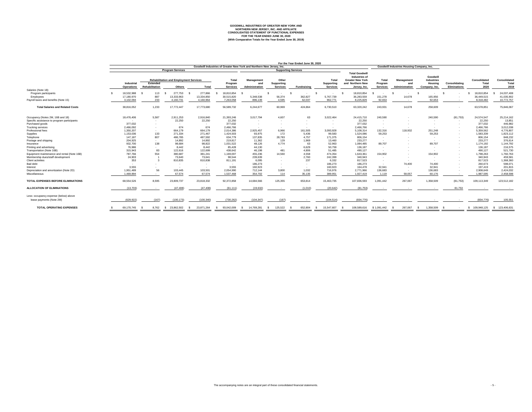**GOODWILL INDUSTRIES OF GREATER NEW YORK AND NORTHERN NEW JERSEY, INC. AND AFFILIATE CONSOLIDATED STATEMENT OF FUNCTIONAL EXPENSES FOR THE YEAR ENDED JUNE 30, 2020 (With Comparative Totals for the Year Ended June 30, 2019)**

|                                                          |                          |                 |                                               |                       | Goodwill Industries of Greater New York and Northern New Jersey, Inc. |                          |                            |                                |                                   |                                                                                              |                         | <b>Goodwill Industries Housing Company, Inc.</b> |                                          |                     |                                     |                                     |
|----------------------------------------------------------|--------------------------|-----------------|-----------------------------------------------|-----------------------|-----------------------------------------------------------------------|--------------------------|----------------------------|--------------------------------|-----------------------------------|----------------------------------------------------------------------------------------------|-------------------------|--------------------------------------------------|------------------------------------------|---------------------|-------------------------------------|-------------------------------------|
|                                                          |                          |                 | <b>Program Services</b>                       |                       |                                                                       |                          |                            | <b>Supporting Services</b>     |                                   |                                                                                              |                         |                                                  |                                          |                     |                                     |                                     |
|                                                          | <b>Industrial</b>        | <b>Extended</b> | <b>Rehabilitation and Employment Services</b> |                       | <b>Total</b><br>Program                                               | <b>Management</b><br>anc | Other<br><b>Supporting</b> |                                | <b>Total</b><br><b>Supporting</b> | <b>Total Goodwill</b><br><b>Industries of</b><br><b>Greater New York</b><br>and Northern New | <b>Total</b><br>Program | <b>Management</b><br>and                         | Goodwill<br><b>Industries</b><br>Housing | Consolidating       | <b>Consolidated</b><br><b>Total</b> | <b>Consolidated</b><br><b>Total</b> |
|                                                          | <b>Operations</b>        | Rehabilitation  | <b>Others</b>                                 | Total                 | <b>Services</b>                                                       | Administration           | <b>Services</b>            | <b>Fundraising</b>             | <b>Services</b>                   | Jersey, Inc.                                                                                 | <b>Services</b>         | Administration                                   | Company, Inc.                            | <b>Eliminations</b> | 2020                                | 2019                                |
| Salaries (Note 18):                                      |                          |                 |                                               |                       |                                                                       |                          |                            |                                |                                   |                                                                                              |                         |                                                  |                                          |                     |                                     |                                     |
| Program participants<br>Employees                        | 18,532,988<br>17,180,970 | 113<br>887      | 277,753<br>13,333,963                         | 277,866<br>13,334,850 | 18,810,854<br>30,515,820                                              | 5,348,538                | 56,374                     | 362,827                        | $\sim$<br>5,767,739               | 18,810,854<br>36,283,559                                                                     | 151,278                 | 14,678                                           | 165,956                                  |                     | 18,810,854<br>36,449,515            | 24,037,408<br>41,035,902            |
| Payroll taxes and benefits (Note 15)                     | 3,102,094                | 233             | 4,160,731                                     | 4,160,964             | 7,263,058                                                             | 896,139                  | 4,595                      | 62,037                         | 962,77                            | 8,225,829                                                                                    | 92,653                  | $\sim$                                           | 92,653                                   |                     | 8,318,482                           | 10,772,757                          |
| <b>Total Salaries and Related Costs</b>                  | 38,816,052               | 1,233           | 17,772,447                                    | 17,773,680            | 56,589,732                                                            | 6,244,677                | 60,969                     | 424,864                        | 6,730,510                         | 63,320,242                                                                                   | 243,931                 | 14,678                                           | 258,609                                  |                     | 63,578,851                          | 75,846,067                          |
| Occupancy (Notes 2M, 16B and 18)                         | 18,476,406               | 5,587           | 2,911,253                                     | 2,916,840             | 21,393,246                                                            | 3,017,794                | 4,607                      | 63                             | 3,022,464                         | 24,415,710                                                                                   | 240,590                 |                                                  | 240,590                                  | (81, 753)           | 24,574,547                          | 25,214,162                          |
| Specific assistance to program participants              | $\overline{\phantom{a}}$ |                 | 22,250                                        | 22,250                | 22,250                                                                |                          |                            |                                |                                   | 22,250                                                                                       |                         |                                                  | $\sim$                                   | $\sim$              | 22,250                              | 13,851                              |
| Purchased goods                                          | 377,032                  |                 | $\sim$                                        |                       | 377,032                                                               |                          |                            |                                |                                   | 377,032                                                                                      |                         |                                                  | $\sim$                                   |                     | 377,032                             | 446,982                             |
| <b>Trucking services</b>                                 | 2,466,092                |                 | 674                                           | 674                   | 2,466,766                                                             |                          | $\sim$ $-$                 | $\overline{\phantom{a}}$       | $\sim$                            | 2,466,766                                                                                    | $\sim$                  | $\sim$                                           | $\sim$                                   |                     | 2,466,766                           | 3,012,038                           |
| Professional fees                                        | 1,350,207                |                 | 664,179                                       | 664,179               | 2,014,386                                                             | 2,925,457                | 6,966                      | 161,505                        | 3,093,928                         | 5,108,314                                                                                    | 132,316                 | 118,932                                          | 251,248                                  |                     | 5,359,562                           | 4,776,807                           |
| Supplies                                                 | 1,153,036                | 133             | 271,334                                       | 271,467               | 1,424,503                                                             | 93,975                   | 172                        | 5,436                          | 99,583                            | 1,524,086                                                                                    | 59,253                  | $\sim$                                           | 59,253                                   |                     | 1,583,339                           | 1,823,112                           |
| Telephone                                                | 147,187                  | 807             | 486,785                                       | 487,592               | 634,779                                                               | 137,835                  | 28,783                     | 4,757                          | 171,375                           | 806,154                                                                                      |                         |                                                  |                                          |                     | 806,154                             | 848,232                             |
| Postage and shipping                                     | 204,925                  |                 | 14,892                                        | 14,892                | 219,817                                                               | 11,362                   | 129                        | 1,969                          | 13,460                            | 233,277                                                                                      | $\sim$                  |                                                  | $\sim$                                   |                     | 233,277                             | 376,614                             |
| Insurance                                                | 932,700                  | 138             | 98,684                                        | 98,822                | 1,031,522                                                             | 48,126                   | 4,774                      | 63                             | 52,963                            | 1,084,485                                                                                    | 89,707                  |                                                  | 89,707                                   |                     | 1,174,192                           | 1,144,792                           |
| Printing and advertising                                 | 76,986                   |                 | 8,442                                         | 8,442                 | 85,428                                                                | 44,130                   |                            | 6,629                          | 50,759                            | 136,187                                                                                      |                         |                                                  | $\sim$                                   |                     | 136,187                             | 216,575                             |
| Transportation (Note 16B)                                | 315,943                  | 83              | 122,616                                       | 122,699               | 438,642                                                               | 46,198                   | 481                        | 4,806                          | 51,485                            | 490,127                                                                                      |                         |                                                  | $\sim$                                   |                     | 490,127                             | 521,730                             |
| Equipment maintenance and rental (Note 16B)              | 787,766                  | 554             | 380,687                                       | 381,241               | 1,169,007                                                             | 455,236                  | 14,560                     | 4,558                          | 474,354                           | 1,643,361                                                                                    | 154,902                 |                                                  | 154,902                                  |                     | 1,798,263                           | 1,760,763                           |
| Membership dues/staff development                        | 24,903                   |                 | 73,640                                        | 73,641                | 98,544                                                                | 239,639                  |                            | 2,760                          | 242,399                           | 340,943                                                                                      |                         |                                                  | $\sim$                                   |                     | 340,943                             | 459,581                             |
| <b>Client activities</b>                                 | 353                      |                 | 810,835                                       | 810,838               | 811,191                                                               | 6,095                    |                            | 237                            | 6,332                             | 817,523                                                                                      | $\sim$                  |                                                  | $\sim$                                   |                     | 817,523                             | 1,368,360                           |
| Bad debt                                                 |                          |                 |                                               |                       |                                                                       | 186,273                  |                            |                                | 186,273                           | 186,273                                                                                      | $\sim$                  | 74,400                                           | 74,400                                   |                     | 260,673                             | 598,07                              |
| Interest                                                 | 3,555                    |                 | $\sim$                                        |                       | 3,555                                                                 | 160,923                  | $\sim$                     | $\overline{\phantom{a}}$       | 160,923                           | 164,478                                                                                      | 32,941                  | $\sim$                                           | 32,941                                   |                     | 197,419                             | 201,815                             |
| Depreciation and amortization (Note 2D)<br>Miscellaneous | 1,951,489<br>1,469,894   | 56              | 103,445<br>67,574                             | 103,501<br>67,574     | 2,054,990<br>1,537,468                                                | 712,144<br>354,702       | 3,800<br>114               | 1,032<br>35,135                | 716,976<br>389,95                 | 2,771,966<br>1,927,419                                                                       | 136,683<br>1,119        | $\sim$<br>59,057                                 | 136,683<br>60,176                        |                     | 2,908,649<br>1,987,595              | 2,424,032<br>2,458,598              |
| TOTAL EXPENSES BEFORE ELIMINATIONS                       | 68,554,526               | 8,595           | 23,809,737                                    | 23,818,332            | 92,372,858                                                            | 14,684,566               | 125,355                    | 653,814                        | 15,463,735                        | 107,836,593                                                                                  | 1,091,442               | 267,067                                          | 1,358,509                                | (81, 753)           | 109,113,349                         | 123,512,182                         |
| <b>ALLOCATION OF ELIMINATIONS</b>                        | (13, 703)                |                 | (47, 408)                                     | (47, 408)             | (61, 111)                                                             | (19, 632)                | and the contract of the    | (1,010)                        | (20, 642)                         | (81, 753)                                                                                    |                         |                                                  |                                          | 81,753              |                                     |                                     |
| Less: occupancy expense (below) above                    |                          |                 |                                               |                       |                                                                       |                          |                            |                                |                                   |                                                                                              |                         |                                                  |                                          |                     |                                     |                                     |
| lease payments (Note 2M)                                 | (629, 922)               | (167)           | (100, 173)                                    | (100, 340)            | (730, 262)                                                            | (104, 347)               | (167)                      | <b>Contract Contract State</b> | (104, 514)                        | (834, 776)                                                                                   |                         |                                                  |                                          |                     | (834, 776)                          | 105,551                             |
| <b>TOTAL OPERATING EXPENSES</b>                          | 69,170,745               | 8,762           | \$ 23,862,502                                 | 23,871,264            | \$93,042,009                                                          | 14,769,281<br>- \$       | \$ 125,522                 | 652,804                        | 15,547,607                        | 108,589,616                                                                                  | \$1,091,442             | 267,067                                          | 1,358,509                                |                     | \$ 109,948,125                      | \$ 123,406,631                      |

**For the Year Ended June 30, 2020**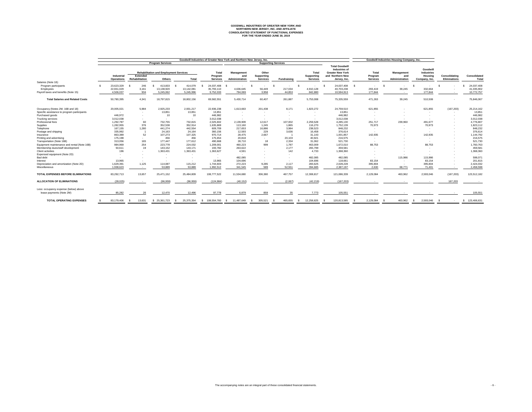# **GOODWILL INDUSTRIES OF GREATER NEW YORK AND NORTHERN NEW JERSEY, INC. AND AFFILIATE CONSOLIDATED STATEMENT OF FUNCTIONAL EXPENSES FOR THE YEAR ENDED JUNE 30, 2019**

|                                                                                                  |                                       |                                                      |                                                                |                                   | Goodwill Industries of Greater New York and Northern New Jersey, Inc. |                                            |                                               |                                     |                                                      |                                                                                                              | <b>Goodwill Industries Housing Company, Inc.</b> |                                            |                                                                  |                                      |                                        |
|--------------------------------------------------------------------------------------------------|---------------------------------------|------------------------------------------------------|----------------------------------------------------------------|-----------------------------------|-----------------------------------------------------------------------|--------------------------------------------|-----------------------------------------------|-------------------------------------|------------------------------------------------------|--------------------------------------------------------------------------------------------------------------|--------------------------------------------------|--------------------------------------------|------------------------------------------------------------------|--------------------------------------|----------------------------------------|
|                                                                                                  |                                       |                                                      | <b>Program Services</b>                                        |                                   | <b>Supporting Services</b>                                            |                                            |                                               |                                     |                                                      |                                                                                                              |                                                  |                                            |                                                                  |                                      |                                        |
|                                                                                                  | Industrial<br><b>Operations</b>       | <b>Extended</b><br>Rehabilitation                    | <b>Rehabilitation and Employment Services</b><br><b>Others</b> | <b>Total</b>                      | <b>Total</b><br>Program<br><b>Services</b>                            | <b>Management</b><br>and<br>Administration | Other<br><b>Supporting</b><br><b>Services</b> | <b>Fundraising</b>                  | <b>Total</b><br><b>Supporting</b><br><b>Services</b> | <b>Total Goodwill</b><br><b>Industries of</b><br><b>Greater New York</b><br>and Northern New<br>Jersey, Inc. | <b>Total</b><br>Program<br><b>Services</b>       | <b>Management</b><br>and<br>Administration | Goodwill<br><b>Industries</b><br><b>Housing</b><br>Company, Inc. | Consolidating<br><b>Eliminations</b> | <b>Consolidated</b><br><b>Total</b>    |
| Salaries (Note 18):<br>Program participants<br>Employees<br>Payroll taxes and benefits (Note 15) | 23,623,329<br>22,651,029<br>4,506,037 | 246<br>3,161<br>934                                  | 413,833<br>13,138,920<br>5,245,062                             | 414,079<br>13,142,08<br>5,245,996 | 24,037,408<br>35,793,110<br>9,752,033                                 | 4,636,645<br>794,069                       | 56,449<br>3,958                               | 217,034<br>44,853                   | $\sim$<br>4,910,128<br>842,880                       | 24,037,408<br>40,703,238<br>10,594,913                                                                       | $\sim$<br>293,419<br>177,844                     | 39,245<br>$\sim$                           | 332,664<br>177,844                                               |                                      | 24,037,408<br>41,035,902<br>10,772,757 |
| <b>Total Salaries and Related Costs</b>                                                          | 50,780,395                            | 4,341                                                | 18,797,815                                                     | 18,802,156                        | 69,582,551                                                            | 5,430,714                                  | 60,407                                        | 261,887                             | 5,753,008                                            | 75,335,559                                                                                                   | 471,263                                          | 39,245                                     | 510,508                                                          |                                      | 75,846,067                             |
| Occupancy (Notes 2M, 16B and 18)                                                                 | 20,005,021                            | 5,984                                                | 2,925,233                                                      | 2,931,217                         | 22,936,238                                                            | 1,613,663                                  | 201,438                                       | 8,171                               | 1,823,272                                            | 24,759,510                                                                                                   | 621,855                                          | $\sim$                                     | 621,855                                                          | (167, 203)                           | 25,214,162                             |
| Specific assistance to program participants                                                      | $\sim$                                |                                                      | 13,851                                                         | 13,851                            | 13,851                                                                | $\sim$                                     |                                               | $\sim$                              | $\sim$                                               | 13,851                                                                                                       | $\sim$                                           |                                            | $\sim$ $-$                                                       | $\sim$                               | 13,851                                 |
| Purchased goods<br><b>Trucking services</b>                                                      | 446,972<br>3,012,038                  | $\overline{\phantom{0}}$<br>$\overline{\phantom{a}}$ | 10<br>$\sim$                                                   | 10<br>$\sim$                      | 446,982<br>3,012,038                                                  | $\sim$<br>$\sim$                           | $\sim$                                        | $\sim$                              | $\sim$<br>$\sim$                                     | 446,982<br>3,012,038                                                                                         | $\sim$<br>$\sim$                                 | $\sim$<br>$\sim$                           | $\sim$<br>$\sim$                                                 |                                      | 446,982<br>3,012,038                   |
| Professional fees                                                                                | 1,292,787                             | 60                                                   | 732,755                                                        | 732,815                           | 2,025,602                                                             | 2,139,909                                  | 12,617                                        | $\overline{\phantom{0}}$<br>107,002 | 2,259,528                                            | 4,285,130                                                                                                    | 251,717                                          | 239,960                                    | 491,677                                                          |                                      | 4,776,807                              |
| Supplies                                                                                         | 1,282,955                             | 376                                                  | 352,538                                                        | 352,914                           | 1,635,869                                                             | 113,160                                    | 1,245                                         | 1,865                               | 116,270                                              | 1,752,139                                                                                                    | 70,973                                           | $\sim$                                     | 70,973                                                           |                                      | 1,823,112                              |
| Telephone                                                                                        | 167,155                               | 1,280                                                | 441,274                                                        | 442,554                           | 609,709                                                               | 217,653                                    | 16,886                                        | 3,984                               | 238,523                                              | 848,232                                                                                                      | $\sim$                                           | $\sim$                                     |                                                                  |                                      | 848,232                                |
| Postage and shipping                                                                             | 335,992                               |                                                      | 24,163                                                         | 24,164                            | 360,156                                                               | 12,593                                     | 229                                           | 3,636                               | 16,458                                               | 376,614                                                                                                      | $\sim$                                           | $\sim$                                     |                                                                  |                                      | 376,614                                |
| Insurance                                                                                        | 863,389                               | 52                                                   | 107,273                                                        | 107,325                           | 970,714                                                               | 28,475                                     | 2,667                                         |                                     | 31,143                                               | 1,001,857                                                                                                    | 142,935                                          |                                            | 142,935                                                          |                                      | 1,144,792                              |
| Printing and advertising                                                                         | 175,198                               |                                                      | 456                                                            | 456                               | 175,654                                                               | 20,818                                     | $\sim$                                        | 20,103                              | 40,921                                               | 216,575                                                                                                      | $\sim$                                           |                                            | $\sim$                                                           |                                      | 216,575                                |
| Transportation (Note 16B)                                                                        | 313,056                               | 165                                                  | 177,447                                                        | 177,612                           | 490,668                                                               | 28,710                                     | 18                                            | 2,334                               | 31,062                                               | 521,730                                                                                                      | $\sim$                                           |                                            |                                                                  |                                      | 521,730                                |
| Equipment maintenance and rental (Note 16B)                                                      | 984,969                               | 254                                                  | 223,778                                                        | 224,032                           | 1,209,001                                                             | 460,223                                    | 999                                           | 1,787                               | 463,009                                              | 1,672,010                                                                                                    | 88,753                                           |                                            | 88,753                                                           |                                      | 1,760,763                              |
| Membership dues/staff development                                                                | 50,611                                | 19                                                   | 143,152                                                        | 143,171                           | 193,782                                                               | 263,622                                    | $\sim$                                        | 2,177                               | 265,799                                              | 459,581                                                                                                      | $\sim$                                           |                                            |                                                                  |                                      | 459,581                                |
| <b>Client activities</b>                                                                         | 196                                   |                                                      | 1,363,431                                                      | 1,363,431                         | 1,363,627                                                             | 4,591                                      |                                               | 142                                 | 4,733                                                | 1,368,360                                                                                                    | $\sim$                                           |                                            |                                                                  |                                      | 1,368,360                              |
| Expensed equipment (Note 2D)                                                                     |                                       |                                                      |                                                                |                                   |                                                                       | $\sim$                                     |                                               | $\sim$                              | $\sim$                                               | $\overline{\phantom{0}}$                                                                                     |                                                  |                                            |                                                                  |                                      |                                        |
| Bad debt                                                                                         |                                       |                                                      | $\sim$                                                         | $\sim$                            | $\sim$                                                                | 482,085                                    |                                               | $\sim$                              | 482,085                                              | 482,085                                                                                                      | $\sim$                                           | 115,986                                    | 115,986                                                          |                                      | 598,071                                |
| Interest                                                                                         | 13,965                                |                                                      |                                                                |                                   | 13,965                                                                | 104,696                                    |                                               | $\sim$                              | 104,696                                              | 118,661                                                                                                      | 83,154                                           | $\sim$ 100 $\pm$                           | 83,154                                                           |                                      | 201,815                                |
| Depreciation and amortization (Note 2D)                                                          | 1,629,391                             | 1,125                                                | 114,087                                                        | 115,212                           | 1,744,603                                                             | 272,223                                    | 9,285                                         | 2,117                               | 283,625                                              | 2,028,228                                                                                                    | 395,804                                          | $\sim$                                     | 395,804                                                          |                                      | 2,424,032                              |
| <b>Miscellaneous</b>                                                                             | 1,938,623                             | $\sim$                                               | 53,889                                                         | 53,889                            | 1,992,512                                                             | 341,545                                    | 589                                           | 52,551                              | 394,685                                              | 2,387,197                                                                                                    | 2,630                                            | 68,771                                     | 71,401                                                           | $\sim$                               | 2,458,598                              |
| <b>TOTAL EXPENSES BEFORE ELIMINATIONS</b>                                                        | 83.292.713                            | 13.657                                               | 25,471,152                                                     | 25,484,809                        | 108,777,522                                                           | 11,534,680                                 | 306.380                                       | 467.757                             | 12.308.817                                           | 121,086,339                                                                                                  | 2,129,084                                        | 463,962                                    | 2,593,046                                                        | (167, 203)                           | 123,512,182                            |
| <b>ALLOCATION OF ELIMINATIONS</b>                                                                | (28, 025)                             |                                                      | (96, 959)                                                      | (96, 959)                         | (124, 984)                                                            | (40, 152)                                  |                                               | (2,067)                             | (42, 219)                                            | (167, 203)                                                                                                   |                                                  |                                            |                                                                  | 167,203                              |                                        |
| Less: occupancy expense (below) above                                                            |                                       |                                                      |                                                                |                                   |                                                                       |                                            |                                               |                                     |                                                      |                                                                                                              |                                                  |                                            |                                                                  |                                      |                                        |
| lease payments (Note 2M)                                                                         | 85,282                                | 26                                                   | 12,470                                                         | 12,496                            | 97,778                                                                | 6,879                                      | 859                                           | 35                                  | 7,773                                                | 105,551                                                                                                      |                                                  |                                            |                                                                  |                                      | 105,551                                |
| <b>TOTAL OPERATING EXPENSES</b>                                                                  | 83,179,406 \$                         | 13,631                                               | \$ 25,361,723                                                  | \$<br>25,375,354                  | \$ 108,554,760                                                        | 11,487,649<br>- ST                         | 305,521<br>- \$                               | 465,655                             | 12,258,825<br><b>S</b>                               | 120,813,585                                                                                                  | 2,129,084 \$                                     | 463,962                                    | 2,593,046<br>$\mathcal{S}$                                       |                                      | \$ 123,406,631                         |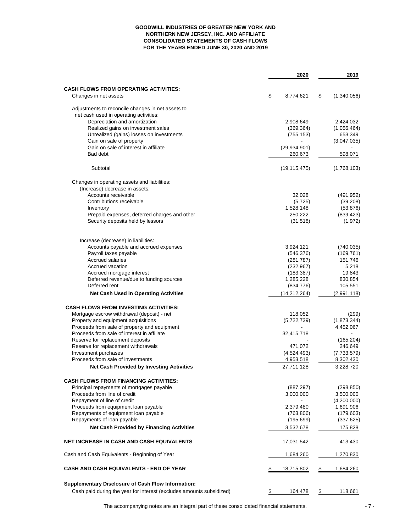# **GOODWILL INDUSTRIES OF GREATER NEW YORK AND NORTHERN NEW JERSEY, INC. AND AFFILIATE CONSOLIDATED STATEMENTS OF CASH FLOWS FOR THE YEARS ENDED JUNE 30, 2020 AND 2019**

|                                                                                | 2020                     | 2019                   |
|--------------------------------------------------------------------------------|--------------------------|------------------------|
|                                                                                |                          |                        |
| <b>CASH FLOWS FROM OPERATING ACTIVITIES:</b><br>Changes in net assets          | \$<br>8,774,621          | \$<br>(1,340,056)      |
|                                                                                |                          |                        |
| Adjustments to reconcile changes in net assets to                              |                          |                        |
| net cash used in operating activities:                                         |                          |                        |
| Depreciation and amortization                                                  | 2,908,649                | 2,424,032              |
| Realized gains on investment sales<br>Unrealized (gains) losses on investments | (369, 364)<br>(755, 153) | (1,056,464)<br>653,349 |
| Gain on sale of property                                                       |                          | (3,047,035)            |
| Gain on sale of interest in affiliate                                          | (29, 934, 901)           |                        |
| Bad debt                                                                       | 260,673                  | 598,071                |
|                                                                                |                          |                        |
| Subtotal                                                                       | (19, 115, 475)           | (1,768,103)            |
| Changes in operating assets and liabilities:                                   |                          |                        |
| (Increase) decrease in assets:                                                 |                          |                        |
| Accounts receivable                                                            | 32,028                   | (491, 952)             |
| Contributions receivable                                                       | (5, 725)                 | (39, 208)              |
| Inventory                                                                      | 1,528,148                | (53, 876)              |
| Prepaid expenses, deferred charges and other                                   | 250,222                  | (839, 423)             |
| Security deposits held by lessors                                              | (31, 518)                | (1, 972)               |
| Increase (decrease) in liabilities:                                            |                          |                        |
| Accounts payable and accrued expenses                                          | 3,924,121                | (740, 035)             |
| Payroll taxes payable                                                          | (546, 376)               | (169, 761)             |
| <b>Accrued salaries</b>                                                        | (281, 787)               | 151,746                |
| Accrued vacation                                                               | (232, 967)               | 5,218                  |
| Accrued mortgage interest                                                      | (183, 387)               | 19,843                 |
| Deferred revenue/due to funding sources                                        | 1,285,228                | 830,854                |
| Deferred rent                                                                  | (834, 776)               | 105,551                |
| <b>Net Cash Used in Operating Activities</b>                                   | (14, 212, 264)           | (2,991,118)            |
| <b>CASH FLOWS FROM INVESTING ACTIVITIES:</b>                                   |                          |                        |
| Mortgage escrow withdrawal (deposit) - net                                     | 118,052                  | (299)                  |
| Property and equipment acquisitions                                            | (5,722,739)              | (1,873,344)            |
| Proceeds from sale of property and equipment                                   |                          | 4,452,067              |
| Proceeds from sale of interest in affiliate                                    | 32,415,718               |                        |
| Reserve for replacement deposits                                               |                          | (165, 204)             |
| Reserve for replacement withdrawals                                            | 471,072                  | 246,649                |
| Investment purchases                                                           | (4,524,493)              | (7,733,579)            |
| Proceeds from sale of investments                                              | 4,953,518                | 8,302,430              |
| <b>Net Cash Provided by Investing Activities</b>                               | 27,711,128               | 3,228,720              |
| <b>CASH FLOWS FROM FINANCING ACTIVITIES:</b>                                   |                          |                        |
| Principal repayments of mortgages payable                                      | (887, 297)               | (298, 850)             |
| Proceeds from line of credit                                                   | 3,000,000                | 3,500,000              |
| Repayment of line of credit                                                    |                          | (4,200,000)            |
| Proceeds from equipment loan payable                                           | 2,379,480                | 1,691,906              |
| Repayments of equipment loan payable                                           | (763, 806)               | (179, 603)             |
| Repayments of loan payable                                                     | (195, 699)               | (337, 625)             |
| <b>Net Cash Provided by Financing Activities</b>                               | 3,532,678                | 175,828                |
| NET INCREASE IN CASH AND CASH EQUIVALENTS                                      | 17,031,542               | 413,430                |
| Cash and Cash Equivalents - Beginning of Year                                  | 1,684,260                | 1,270,830              |
| CASH AND CASH EQUIVALENTS - END OF YEAR                                        | \$<br>18,715,802         | \$<br>1,684,260        |
| <b>Supplementary Disclosure of Cash Flow Information:</b>                      |                          |                        |
| Cash paid during the year for interest (excludes amounts subsidized)           | \$<br>164,478            | \$<br>118,661          |

The accompanying notes are an integral part of these consolidated financial statements.  $\sim 7 - 7$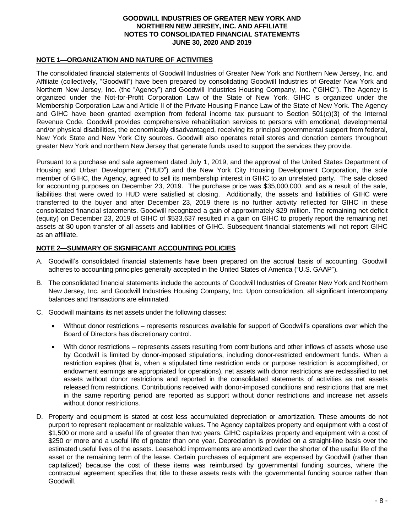#### **NOTE 1—ORGANIZATION AND NATURE OF ACTIVITIES**

The consolidated financial statements of Goodwill Industries of Greater New York and Northern New Jersey, Inc. and Affiliate (collectively, "Goodwill") have been prepared by consolidating Goodwill Industries of Greater New York and Northern New Jersey, Inc. (the "Agency") and Goodwill Industries Housing Company, Inc. ("GIHC"). The Agency is organized under the Not-for-Profit Corporation Law of the State of New York. GIHC is organized under the Membership Corporation Law and Article II of the Private Housing Finance Law of the State of New York. The Agency and GIHC have been granted exemption from federal income tax pursuant to Section 501(c)(3) of the Internal Revenue Code. Goodwill provides comprehensive rehabilitation services to persons with emotional, developmental and/or physical disabilities, the economically disadvantaged, receiving its principal governmental support from federal, New York State and New York City sources. Goodwill also operates retail stores and donation centers throughout greater New York and northern New Jersey that generate funds used to support the services they provide.

Pursuant to a purchase and sale agreement dated July 1, 2019, and the approval of the United States Department of Housing and Urban Development ("HUD") and the New York City Housing Development Corporation, the sole member of GIHC, the Agency, agreed to sell its membership interest in GIHC to an unrelated party. The sale closed for accounting purposes on December 23, 2019. The purchase price was \$35,000,000, and as a result of the sale, liabilities that were owed to HUD were satisfied at closing. Additionally, the assets and liabilities of GIHC were transferred to the buyer and after December 23, 2019 there is no further activity reflected for GIHC in these consolidated financial statements. Goodwill recognized a gain of approximately \$29 million. The remaining net deficit (equity) on December 23, 2019 of GIHC of \$533,637 resulted in a gain on GIHC to properly report the remaining net assets at \$0 upon transfer of all assets and liabilities of GIHC. Subsequent financial statements will not report GIHC as an affiliate.

#### **NOTE 2—SUMMARY OF SIGNIFICANT ACCOUNTING POLICIES**

- A. Goodwill's consolidated financial statements have been prepared on the accrual basis of accounting. Goodwill adheres to accounting principles generally accepted in the United States of America ("U.S. GAAP").
- B. The consolidated financial statements include the accounts of Goodwill Industries of Greater New York and Northern New Jersey, Inc. and Goodwill Industries Housing Company, Inc. Upon consolidation, all significant intercompany balances and transactions are eliminated.
- C. Goodwill maintains its net assets under the following classes:
	- Without donor restrictions represents resources available for support of Goodwill's operations over which the Board of Directors has discretionary control.
	- With donor restrictions represents assets resulting from contributions and other inflows of assets whose use by Goodwill is limited by donor-imposed stipulations, including donor-restricted endowment funds. When a restriction expires (that is, when a stipulated time restriction ends or purpose restriction is accomplished, or endowment earnings are appropriated for operations), net assets with donor restrictions are reclassified to net assets without donor restrictions and reported in the consolidated statements of activities as net assets released from restrictions. Contributions received with donor-imposed conditions and restrictions that are met in the same reporting period are reported as support without donor restrictions and increase net assets without donor restrictions.
- D. Property and equipment is stated at cost less accumulated depreciation or amortization. These amounts do not purport to represent replacement or realizable values. The Agency capitalizes property and equipment with a cost of \$1,500 or more and a useful life of greater than two years. GIHC capitalizes property and equipment with a cost of \$250 or more and a useful life of greater than one year. Depreciation is provided on a straight-line basis over the estimated useful lives of the assets. Leasehold improvements are amortized over the shorter of the useful life of the asset or the remaining term of the lease. Certain purchases of equipment are expensed by Goodwill (rather than capitalized) because the cost of these items was reimbursed by governmental funding sources, where the contractual agreement specifies that title to these assets rests with the governmental funding source rather than Goodwill.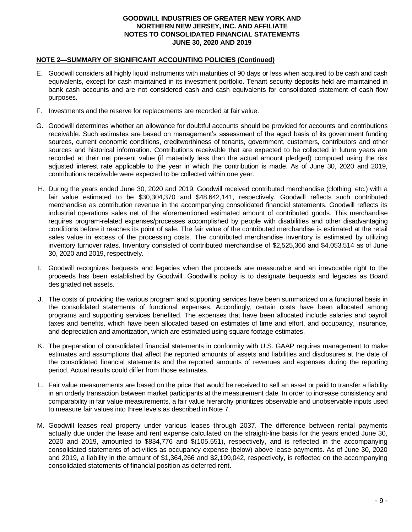#### **NOTE 2—SUMMARY OF SIGNIFICANT ACCOUNTING POLICIES (Continued)**

- E. Goodwill considers all highly liquid instruments with maturities of 90 days or less when acquired to be cash and cash equivalents, except for cash maintained in its investment portfolio. Tenant security deposits held are maintained in bank cash accounts and are not considered cash and cash equivalents for consolidated statement of cash flow purposes.
- F. Investments and the reserve for replacements are recorded at fair value.
- G. Goodwill determines whether an allowance for doubtful accounts should be provided for accounts and contributions receivable. Such estimates are based on management's assessment of the aged basis of its government funding sources, current economic conditions, creditworthiness of tenants, government, customers, contributors and other sources and historical information. Contributions receivable that are expected to be collected in future years are recorded at their net present value (if materially less than the actual amount pledged) computed using the risk adjusted interest rate applicable to the year in which the contribution is made. As of June 30, 2020 and 2019, contributions receivable were expected to be collected within one year.
- H. During the years ended June 30, 2020 and 2019, Goodwill received contributed merchandise (clothing, etc.) with a fair value estimated to be \$30,304,370 and \$48,642,141, respectively. Goodwill reflects such contributed merchandise as contribution revenue in the accompanying consolidated financial statements. Goodwill reflects its industrial operations sales net of the aforementioned estimated amount of contributed goods. This merchandise requires program-related expenses/processes accomplished by people with disabilities and other disadvantaging conditions before it reaches its point of sale. The fair value of the contributed merchandise is estimated at the retail sales value in excess of the processing costs. The contributed merchandise inventory is estimated by utilizing inventory turnover rates. Inventory consisted of contributed merchandise of \$2,525,366 and \$4,053,514 as of June 30, 2020 and 2019, respectively.
- I. Goodwill recognizes bequests and legacies when the proceeds are measurable and an irrevocable right to the proceeds has been established by Goodwill. Goodwill's policy is to designate bequests and legacies as Board designated net assets.
- J. The costs of providing the various program and supporting services have been summarized on a functional basis in the consolidated statements of functional expenses. Accordingly, certain costs have been allocated among programs and supporting services benefited. The expenses that have been allocated include salaries and payroll taxes and benefits, which have been allocated based on estimates of time and effort, and occupancy, insurance, and depreciation and amortization, which are estimated using square footage estimates.
- K. The preparation of consolidated financial statements in conformity with U.S. GAAP requires management to make estimates and assumptions that affect the reported amounts of assets and liabilities and disclosures at the date of the consolidated financial statements and the reported amounts of revenues and expenses during the reporting period. Actual results could differ from those estimates.
- L. Fair value measurements are based on the price that would be received to sell an asset or paid to transfer a liability in an orderly transaction between market participants at the measurement date. In order to increase consistency and comparability in fair value measurements, a fair value hierarchy prioritizes observable and unobservable inputs used to measure fair values into three levels as described in Note 7.
- M. Goodwill leases real property under various leases through 2037. The difference between rental payments actually due under the lease and rent expense calculated on the straight-line basis for the years ended June 30, 2020 and 2019, amounted to \$834,776 and \$(105,551), respectively, and is reflected in the accompanying consolidated statements of activities as occupancy expense (below) above lease payments. As of June 30, 2020 and 2019, a liability in the amount of \$1,364,266 and \$2,199,042, respectively, is reflected on the accompanying consolidated statements of financial position as deferred rent.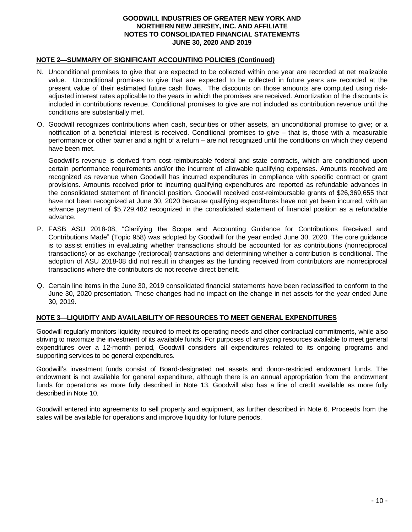#### **NOTE 2—SUMMARY OF SIGNIFICANT ACCOUNTING POLICIES (Continued)**

- N. Unconditional promises to give that are expected to be collected within one year are recorded at net realizable value. Unconditional promises to give that are expected to be collected in future years are recorded at the present value of their estimated future cash flows. The discounts on those amounts are computed using riskadjusted interest rates applicable to the years in which the promises are received. Amortization of the discounts is included in contributions revenue. Conditional promises to give are not included as contribution revenue until the conditions are substantially met.
- O. Goodwill recognizes contributions when cash, securities or other assets, an unconditional promise to give; or a notification of a beneficial interest is received. Conditional promises to give – that is, those with a measurable performance or other barrier and a right of a return – are not recognized until the conditions on which they depend have been met.

Goodwill's revenue is derived from cost-reimbursable federal and state contracts, which are conditioned upon certain performance requirements and/or the incurrent of allowable qualifying expenses. Amounts received are recognized as revenue when Goodwill has incurred expenditures in compliance with specific contract or grant provisions. Amounts received prior to incurring qualifying expenditures are reported as refundable advances in the consolidated statement of financial position. Goodwill received cost-reimbursable grants of \$26,369,655 that have not been recognized at June 30, 2020 because qualifying expenditures have not yet been incurred, with an advance payment of \$5,729,482 recognized in the consolidated statement of financial position as a refundable advance.

- P. FASB ASU 2018-08, "Clarifying the Scope and Accounting Guidance for Contributions Received and Contributions Made" (Topic 958) was adopted by Goodwill for the year ended June 30, 2020. The core guidance is to assist entities in evaluating whether transactions should be accounted for as contributions (nonreciprocal transactions) or as exchange (reciprocal) transactions and determining whether a contribution is conditional. The adoption of ASU 2018-08 did not result in changes as the funding received from contributors are nonreciprocal transactions where the contributors do not receive direct benefit.
- Q. Certain line items in the June 30, 2019 consolidated financial statements have been reclassified to conform to the June 30, 2020 presentation. These changes had no impact on the change in net assets for the year ended June 30, 2019.

#### **NOTE 3—LIQUIDITY AND AVAILABILITY OF RESOURCES TO MEET GENERAL EXPENDITURES**

Goodwill regularly monitors liquidity required to meet its operating needs and other contractual commitments, while also striving to maximize the investment of its available funds. For purposes of analyzing resources available to meet general expenditures over a 12-month period, Goodwill considers all expenditures related to its ongoing programs and supporting services to be general expenditures.

Goodwill's investment funds consist of Board-designated net assets and donor-restricted endowment funds. The endowment is not available for general expenditure, although there is an annual appropriation from the endowment funds for operations as more fully described in Note 13. Goodwill also has a line of credit available as more fully described in Note 10.

Goodwill entered into agreements to sell property and equipment, as further described in Note 6. Proceeds from the sales will be available for operations and improve liquidity for future periods.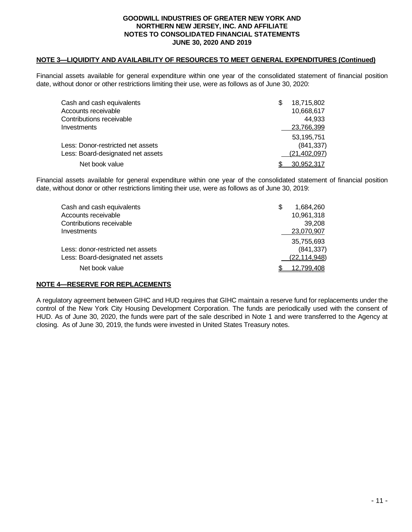#### **NOTE 3—LIQUIDITY AND AVAILABILITY OF RESOURCES TO MEET GENERAL EXPENDITURES (Continued)**

Financial assets available for general expenditure within one year of the consolidated statement of financial position date, without donor or other restrictions limiting their use, were as follows as of June 30, 2020:

| Cash and cash equivalents         | 18,715,802     |
|-----------------------------------|----------------|
| Accounts receivable               | 10,668,617     |
| Contributions receivable          | 44.933         |
| Investments                       | 23,766,399     |
|                                   | 53,195,751     |
| Less: Donor-restricted net assets | (841, 337)     |
| Less: Board-designated net assets | (21, 402, 097) |
| Net book value                    | 30.952.317     |

Financial assets available for general expenditure within one year of the consolidated statement of financial position date, without donor or other restrictions limiting their use, were as follows as of June 30, 2019:

| Cash and cash equivalents         | \$<br>1.684.260 |
|-----------------------------------|-----------------|
| Accounts receivable               | 10,961,318      |
| Contributions receivable          | 39.208          |
| Investments                       | 23,070,907      |
|                                   | 35,755,693      |
| Less: donor-restricted net assets | (841, 337)      |
| Less: Board-designated net assets | (22, 114, 948)  |
| Net book value                    | 12,799,408      |
|                                   |                 |

#### **NOTE 4—RESERVE FOR REPLACEMENTS**

A regulatory agreement between GIHC and HUD requires that GIHC maintain a reserve fund for replacements under the control of the New York City Housing Development Corporation. The funds are periodically used with the consent of HUD. As of June 30, 2020, the funds were part of the sale described in Note 1 and were transferred to the Agency at closing. As of June 30, 2019, the funds were invested in United States Treasury notes.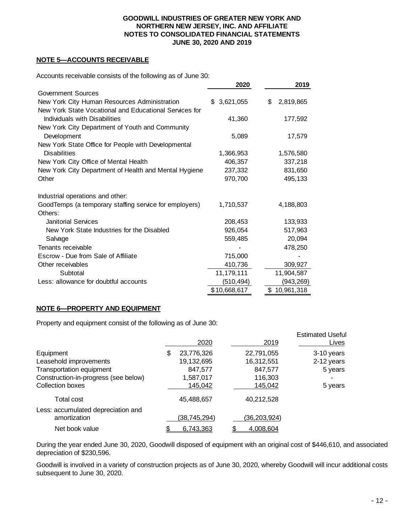#### **NOTE 5—ACCOUNTS RECEIVABLE**

Accounts receivable consists of the following as of June 30:

|                                                        | 2020         | 2019             |
|--------------------------------------------------------|--------------|------------------|
| Government Sources                                     |              |                  |
| New York City Human Resources Administration           | \$3,621,055  | \$<br>2,819,865  |
| New York State Vocational and Educational Services for |              |                  |
| Individuals with Disabilities                          | 41,360       | 177,592          |
| New York City Department of Youth and Community        |              |                  |
| Development                                            | 5,089        | 17,579           |
| New York State Office for People with Developmental    |              |                  |
| <b>Disabilities</b>                                    | 1,366,953    | 1,576,580        |
| New York City Office of Mental Health                  | 406,357      | 337,218          |
| New York City Department of Health and Mental Hygiene  | 237,332      | 831,650          |
| Other                                                  | 970,700      | 495,133          |
| Industrial operations and other:                       |              |                  |
| GoodTemps (a temporary staffing service for employers) | 1,710,537    | 4,188,803        |
| Others:                                                |              |                  |
| Janitorial Services                                    | 208,453      | 133,933          |
| New York State Industries for the Disabled             | 926,054      | 517,963          |
| Salvage                                                | 559,485      | 20,094           |
| Tenants receivable                                     |              | 478,250          |
| Escrow - Due from Sale of Affiliate                    | 715,000      |                  |
| Other receivables                                      | 410,736      | 309,927          |
| Subtotal                                               | 11,179,111   | 11,904,587       |
| Less: allowance for doubtful accounts                  | (510,494)    | (943,269)        |
|                                                        | \$10,668,617 | 10,961,318<br>\$ |

#### **NOTE 6—PROPERTY AND EQUIPMENT**

Property and equipment consist of the following as of June 30:

|                                                    | 2020             | 2019         | <b>Estimated Useful</b><br>Lives |
|----------------------------------------------------|------------------|--------------|----------------------------------|
| Equipment                                          | \$<br>23,776,326 | 22,791,055   | 3-10 years                       |
| Leasehold improvements                             | 19,132,695       | 16,312,551   | 2-12 years                       |
| <b>Transportation equipment</b>                    | 847,577          | 847,577      | 5 years                          |
| Construction-in-progress (see below)               | 1,587,017        | 116,303      |                                  |
| <b>Collection boxes</b>                            | 145,042          | 145,042      | 5 years                          |
| Total cost                                         | 45,488,657       | 40,212,528   |                                  |
| Less: accumulated depreciation and<br>amortization | (38, 745, 294)   | (36,203,924) |                                  |
| Net book value                                     | 6,743,363        | 4,008,604    |                                  |

During the year ended June 30, 2020, Goodwill disposed of equipment with an original cost of \$446,610, and associated depreciation of \$230,596.

Goodwill is involved in a variety of construction projects as of June 30, 2020, whereby Goodwill will incur additional costs subsequent to June 30, 2020.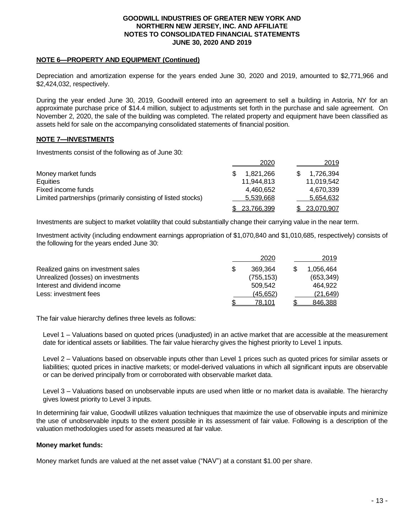#### **NOTE 6—PROPERTY AND EQUIPMENT (Continued)**

Depreciation and amortization expense for the years ended June 30, 2020 and 2019, amounted to \$2,771,966 and \$2,424,032, respectively.

During the year ended June 30, 2019, Goodwill entered into an agreement to sell a building in Astoria, NY for an approximate purchase price of \$14.4 million, subject to adjustments set forth in the purchase and sale agreement. On November 2, 2020, the sale of the building was completed. The related property and equipment have been classified as assets held for sale on the accompanying consolidated statements of financial position.

#### **NOTE 7—INVESTMENTS**

Investments consist of the following as of June 30:

|                                                              | 2020       | 2019       |
|--------------------------------------------------------------|------------|------------|
| Money market funds                                           | 1,821,266  | 1,726,394  |
| Equities                                                     | 11.944.813 | 11,019,542 |
| Fixed income funds                                           | 4,460,652  | 4,670,339  |
| Limited partnerships (primarily consisting of listed stocks) | 5,539,668  | 5,654,632  |
|                                                              | 23.766.399 | 23,070,907 |

Investments are subject to market volatility that could substantially change their carrying value in the near term.

Investment activity (including endowment earnings appropriation of \$1,070,840 and \$1,010,685, respectively) consists of the following for the years ended June 30:

|                                    | 2020       | 2019       |
|------------------------------------|------------|------------|
| Realized gains on investment sales | 369.364    | 1,056,464  |
| Unrealized (losses) on investments | (755, 153) | (653, 349) |
| Interest and dividend income       | 509.542    | 464.922    |
| Less: investment fees              | (45, 652)  | (21, 649)  |
|                                    | 78.101     | 846.388    |

The fair value hierarchy defines three levels as follows:

Level 1 – Valuations based on quoted prices (unadjusted) in an active market that are accessible at the measurement date for identical assets or liabilities. The fair value hierarchy gives the highest priority to Level 1 inputs.

Level 2 – Valuations based on observable inputs other than Level 1 prices such as quoted prices for similar assets or liabilities; quoted prices in inactive markets; or model-derived valuations in which all significant inputs are observable or can be derived principally from or corroborated with observable market data.

Level 3 – Valuations based on unobservable inputs are used when little or no market data is available. The hierarchy gives lowest priority to Level 3 inputs.

In determining fair value, Goodwill utilizes valuation techniques that maximize the use of observable inputs and minimize the use of unobservable inputs to the extent possible in its assessment of fair value. Following is a description of the valuation methodologies used for assets measured at fair value.

#### **Money market funds:**

Money market funds are valued at the net asset value ("NAV") at a constant \$1.00 per share.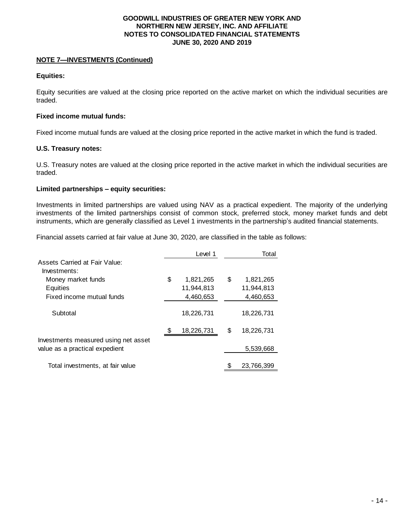#### **NOTE 7—INVESTMENTS (Continued)**

#### **Equities:**

Equity securities are valued at the closing price reported on the active market on which the individual securities are traded.

#### **Fixed income mutual funds:**

Fixed income mutual funds are valued at the closing price reported in the active market in which the fund is traded.

#### **U.S. Treasury notes:**

U.S. Treasury notes are valued at the closing price reported in the active market in which the individual securities are traded.

#### **Limited partnerships – equity securities:**

Investments in limited partnerships are valued using NAV as a practical expedient. The majority of the underlying investments of the limited partnerships consist of common stock, preferred stock, money market funds and debt instruments, which are generally classified as Level 1 investments in the partnership's audited financial statements.

Financial assets carried at fair value at June 30, 2020, are classified in the table as follows:

|                                                                        | Level 1          |    | Total      |
|------------------------------------------------------------------------|------------------|----|------------|
| Assets Carried at Fair Value:                                          |                  |    |            |
| Investments:                                                           |                  |    |            |
| Money market funds                                                     | \$<br>1,821,265  | S  | 1,821,265  |
| Equities                                                               | 11,944,813       |    | 11,944,813 |
| Fixed income mutual funds                                              | 4,460,653        |    | 4,460,653  |
| Subtotal                                                               | 18,226,731       |    | 18,226,731 |
|                                                                        | \$<br>18,226,731 | \$ | 18,226,731 |
| Investments measured using net asset<br>value as a practical expedient |                  |    | 5,539,668  |
| Total investments, at fair value                                       |                  |    | 23,766,399 |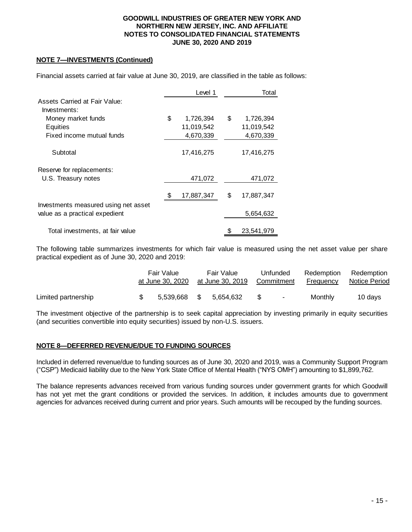#### **NOTE 7—INVESTMENTS (Continued)**

|                                               |    | Level 1    | Total            |
|-----------------------------------------------|----|------------|------------------|
| Assets Carried at Fair Value:<br>Investments: |    |            |                  |
| Money market funds                            | \$ | 1,726,394  | \$<br>1,726,394  |
| Equities                                      |    | 11,019,542 | 11,019,542       |
| Fixed income mutual funds                     |    | 4,670,339  | 4,670,339        |
| Subtotal                                      |    | 17,416,275 | 17,416,275       |
| Reserve for replacements:                     |    |            |                  |
| U.S. Treasury notes                           |    | 471,072    | 471,072          |
| Investments measured using net asset          | S  | 17,887,347 | \$<br>17,887,347 |
| value as a practical expedient                |    |            | 5,654,632        |
| Total investments, at fair value              |    |            | 23,541,979       |

Financial assets carried at fair value at June 30, 2019, are classified in the table as follows:

The following table summarizes investments for which fair value is measured using the net asset value per share practical expedient as of June 30, 2020 and 2019:

|                     | Fair Value<br>at June 30. 2020 | Fair Value<br>at June 30, 2019 |     | Unfunded<br>Commitment | Redemption<br>Frequency | Redemption<br>Notice Period |
|---------------------|--------------------------------|--------------------------------|-----|------------------------|-------------------------|-----------------------------|
| Limited partnership | 5.539.668 \$ 5.654.632         |                                | S S |                        | Monthly                 | 10 davs                     |

The investment objective of the partnership is to seek capital appreciation by investing primarily in equity securities (and securities convertible into equity securities) issued by non-U.S. issuers.

#### **NOTE 8—DEFERRED REVENUE/DUE TO FUNDING SOURCES**

Included in deferred revenue/due to funding sources as of June 30, 2020 and 2019, was a Community Support Program ("CSP") Medicaid liability due to the New York State Office of Mental Health ("NYS OMH") amounting to \$1,899,762.

The balance represents advances received from various funding sources under government grants for which Goodwill has not yet met the grant conditions or provided the services. In addition, it includes amounts due to government agencies for advances received during current and prior years. Such amounts will be recouped by the funding sources.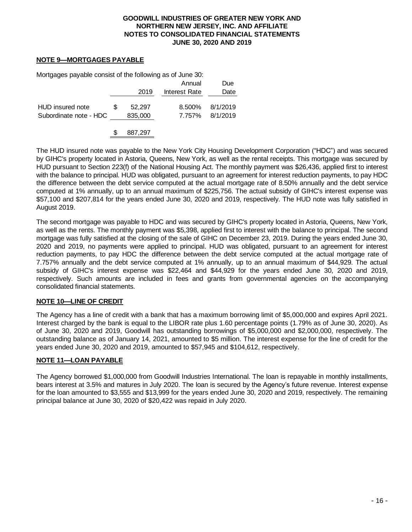#### **NOTE 9—MORTGAGES PAYABLE**

Mortgages payable consist of the following as of June 30:

|                                            |                   | Annual        | Due                         |
|--------------------------------------------|-------------------|---------------|-----------------------------|
|                                            | 2019              | Interest Rate | Date                        |
| HUD insured note<br>Subordinate note - HDC | 52.297<br>835,000 | 8.500%        | 8/1/2019<br>7.757% 8/1/2019 |

\$ 887,297

The HUD insured note was payable to the New York City Housing Development Corporation ("HDC") and was secured by GIHC's property located in Astoria, Queens, New York, as well as the rental receipts. This mortgage was secured by HUD pursuant to Section 223(f) of the National Housing Act. The monthly payment was \$26,436, applied first to interest with the balance to principal. HUD was obligated, pursuant to an agreement for interest reduction payments, to pay HDC the difference between the debt service computed at the actual mortgage rate of 8.50% annually and the debt service computed at 1% annually, up to an annual maximum of \$225,756. The actual subsidy of GIHC's interest expense was \$57,100 and \$207,814 for the years ended June 30, 2020 and 2019, respectively. The HUD note was fully satisfied in August 2019.

The second mortgage was payable to HDC and was secured by GIHC's property located in Astoria, Queens, New York, as well as the rents. The monthly payment was \$5,398, applied first to interest with the balance to principal. The second mortgage was fully satisfied at the closing of the sale of GIHC on December 23, 2019. During the years ended June 30, 2020 and 2019, no payments were applied to principal. HUD was obligated, pursuant to an agreement for interest reduction payments, to pay HDC the difference between the debt service computed at the actual mortgage rate of 7.757% annually and the debt service computed at 1% annually, up to an annual maximum of \$44,929. The actual subsidy of GIHC's interest expense was \$22,464 and \$44,929 for the years ended June 30, 2020 and 2019, respectively. Such amounts are included in fees and grants from governmental agencies on the accompanying consolidated financial statements.

#### **NOTE 10—LINE OF CREDIT**

The Agency has a line of credit with a bank that has a maximum borrowing limit of \$5,000,000 and expires April 2021. Interest charged by the bank is equal to the LIBOR rate plus 1.60 percentage points (1.79% as of June 30, 2020). As of June 30, 2020 and 2019, Goodwill has outstanding borrowings of \$5,000,000 and \$2,000,000, respectively. The outstanding balance as of January 14, 2021, amounted to \$5 million. The interest expense for the line of credit for the years ended June 30, 2020 and 2019, amounted to \$57,945 and \$104,612, respectively.

#### **NOTE 11—LOAN PAYABLE**

The Agency borrowed \$1,000,000 from Goodwill Industries International. The loan is repayable in monthly installments, bears interest at 3.5% and matures in July 2020. The loan is secured by the Agency's future revenue. Interest expense for the loan amounted to \$3,555 and \$13,999 for the years ended June 30, 2020 and 2019, respectively. The remaining principal balance at June 30, 2020 of \$20,422 was repaid in July 2020.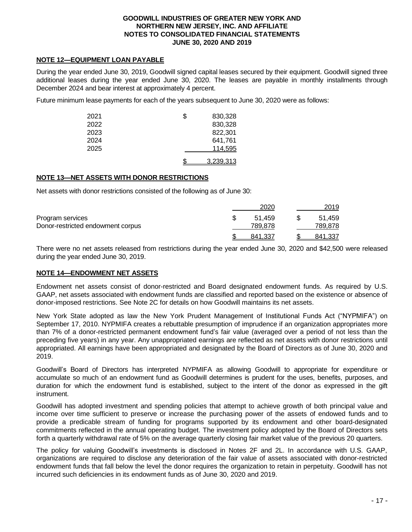#### **NOTE 12―EQUIPMENT LOAN PAYABLE**

During the year ended June 30, 2019, Goodwill signed capital leases secured by their equipment. Goodwill signed three additional leases during the year ended June 30, 2020. The leases are payable in monthly installments through December 2024 and bear interest at approximately 4 percent.

Future minimum lease payments for each of the years subsequent to June 30, 2020 were as follows:

| 2021 | \$<br>830,328 |
|------|---------------|
| 2022 | 830,328       |
| 2023 | 822,301       |
| 2024 | 641,761       |
| 2025 | 114.595       |
|      | 3.239.313     |

#### **NOTE 13—NET ASSETS WITH DONOR RESTRICTIONS**

Net assets with donor restrictions consisted of the following as of June 30:

|                                   | 2020    | 2019    |
|-----------------------------------|---------|---------|
| Program services                  | 51.459  | 51.459  |
| Donor-restricted endowment corpus | 789.878 | 789,878 |
|                                   | 841.337 | 841.337 |

There were no net assets released from restrictions during the year ended June 30, 2020 and \$42,500 were released during the year ended June 30, 2019.

#### **NOTE 14—ENDOWMENT NET ASSETS**

Endowment net assets consist of donor-restricted and Board designated endowment funds. As required by U.S. GAAP, net assets associated with endowment funds are classified and reported based on the existence or absence of donor-imposed restrictions. See Note 2C for details on how Goodwill maintains its net assets.

New York State adopted as law the New York Prudent Management of Institutional Funds Act ("NYPMIFA") on September 17, 2010. NYPMIFA creates a rebuttable presumption of imprudence if an organization appropriates more than 7% of a donor-restricted permanent endowment fund's fair value (averaged over a period of not less than the preceding five years) in any year. Any unappropriated earnings are reflected as net assets with donor restrictions until appropriated. All earnings have been appropriated and designated by the Board of Directors as of June 30, 2020 and 2019.

Goodwill's Board of Directors has interpreted NYPMIFA as allowing Goodwill to appropriate for expenditure or accumulate so much of an endowment fund as Goodwill determines is prudent for the uses, benefits, purposes, and duration for which the endowment fund is established, subject to the intent of the donor as expressed in the gift instrument.

Goodwill has adopted investment and spending policies that attempt to achieve growth of both principal value and income over time sufficient to preserve or increase the purchasing power of the assets of endowed funds and to provide a predicable stream of funding for programs supported by its endowment and other board-designated commitments reflected in the annual operating budget. The investment policy adopted by the Board of Directors sets forth a quarterly withdrawal rate of 5% on the average quarterly closing fair market value of the previous 20 quarters.

The policy for valuing Goodwill's investments is disclosed in Notes 2F and 2L. In accordance with U.S. GAAP, organizations are required to disclose any deterioration of the fair value of assets associated with donor-restricted endowment funds that fall below the level the donor requires the organization to retain in perpetuity. Goodwill has not incurred such deficiencies in its endowment funds as of June 30, 2020 and 2019.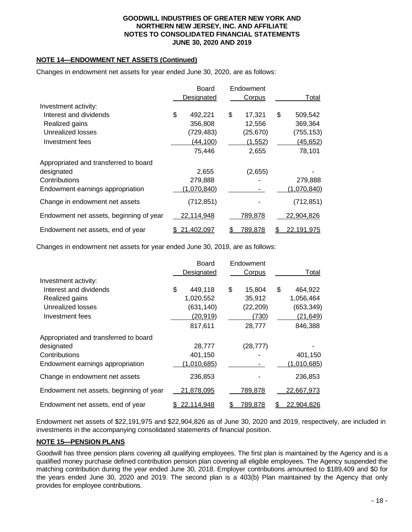#### **NOTE 14—ENDOWMENT NET ASSETS (Continued)**

Changes in endowment net assets for year ended June 30, 2020, are as follows:

|                                         | Board         |    | Endowment      |                   |
|-----------------------------------------|---------------|----|----------------|-------------------|
|                                         | Designated    |    | Corpus         | Total             |
| Investment activity:                    |               |    |                |                   |
| Interest and dividends                  | \$<br>492,221 | \$ | 17,321         | \$<br>509,542     |
| Realized gains                          | 356,808       |    | 12,556         | 369,364           |
| Unrealized losses                       | (729,483)     |    | (25, 670)      | (755, 153)        |
| Investment fees                         | (44, 100)     |    | (1, 552)       | (45, 652)         |
|                                         | 75,446        |    | 2,655          | 78,101            |
| Appropriated and transferred to board   |               |    |                |                   |
| designated                              | 2,655         |    | (2,655)        |                   |
| Contributions                           | 279,888       |    |                | 279,888           |
| Endowment earnings appropriation        | (1,070,840)   |    |                | (1,070,840)       |
| Change in endowment net assets          | (712, 851)    |    |                | (712, 851)        |
| Endowment net assets, beginning of year | 22,114,948    |    | 789,878        | 22,904,826        |
| Endowment net assets, end of year       | 21,402,097    | S. | <u>789,878</u> | <u>22,191,975</u> |

Changes in endowment net assets for year ended June 30, 2019, are as follows:

|                                         | Board<br>Designated | Endowment<br>Corpus | Total             |
|-----------------------------------------|---------------------|---------------------|-------------------|
| Investment activity:                    |                     |                     |                   |
| Interest and dividends                  | \$<br>449,118       | \$<br>15.804        | \$<br>464,922     |
| Realized gains                          | 1,020,552           | 35,912              | 1,056,464         |
| Unrealized losses                       | (631, 140)          | (22, 209)           | (653, 349)        |
| Investment fees                         | (20, 919)           | (730)               | (21, 649)         |
|                                         | 817,611             | 28,777              | 846,388           |
| Appropriated and transferred to board   |                     |                     |                   |
| designated                              | 28,777              | (28, 777)           |                   |
| Contributions                           | 401,150             |                     | 401,150           |
| Endowment earnings appropriation        | (1,010,685)         |                     | (1,010,685)       |
| Change in endowment net assets          | 236,853             |                     | 236,853           |
| Endowment net assets, beginning of year | 21,878,095          | 789,878             | 22,667,973        |
| Endowment net assets, end of year       | 22.114.948          | 789.878             | <u>22.904.826</u> |

Endowment net assets of \$22,191,975 and \$22,904,826 as of June 30, 2020 and 2019, respectively, are included in investments in the accompanying consolidated statements of financial position.

#### **NOTE 15—PENSION PLANS**

Goodwill has three pension plans covering all qualifying employees. The first plan is maintained by the Agency and is a qualified money purchase defined contribution pension plan covering all eligible employees. The Agency suspended the matching contribution during the year ended June 30, 2018. Employer contributions amounted to \$189,409 and \$0 for the years ended June 30, 2020 and 2019. The second plan is a 403(b) Plan maintained by the Agency that only provides for employee contributions.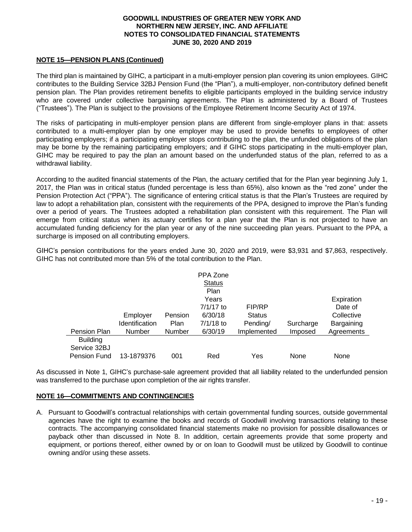#### **NOTE 15—PENSION PLANS (Continued)**

The third plan is maintained by GIHC, a participant in a multi-employer pension plan covering its union employees. GIHC contributes to the Building Service 32BJ Pension Fund (the "Plan"), a multi-employer, non-contributory defined benefit pension plan. The Plan provides retirement benefits to eligible participants employed in the building service industry who are covered under collective bargaining agreements. The Plan is administered by a Board of Trustees ("Trustees"). The Plan is subject to the provisions of the Employee Retirement Income Security Act of 1974.

The risks of participating in multi-employer pension plans are different from single-employer plans in that: assets contributed to a multi-employer plan by one employer may be used to provide benefits to employees of other participating employers; if a participating employer stops contributing to the plan, the unfunded obligations of the plan may be borne by the remaining participating employers; and if GIHC stops participating in the multi-employer plan, GIHC may be required to pay the plan an amount based on the underfunded status of the plan, referred to as a withdrawal liability.

According to the audited financial statements of the Plan, the actuary certified that for the Plan year beginning July 1, 2017, the Plan was in critical status (funded percentage is less than 65%), also known as the "red zone" under the Pension Protection Act ("PPA"). The significance of entering critical status is that the Plan's Trustees are required by law to adopt a rehabilitation plan, consistent with the requirements of the PPA, designed to improve the Plan's funding over a period of years. The Trustees adopted a rehabilitation plan consistent with this requirement. The Plan will emerge from critical status when its actuary certifies for a plan year that the Plan is not projected to have an accumulated funding deficiency for the plan year or any of the nine succeeding plan years. Pursuant to the PPA, a surcharge is imposed on all contributing employers.

GIHC's pension contributions for the years ended June 30, 2020 and 2019, were \$3,931 and \$7,863, respectively. GIHC has not contributed more than 5% of the total contribution to the Plan.

|                     |                |         | PPA Zone      |               |           |            |
|---------------------|----------------|---------|---------------|---------------|-----------|------------|
|                     |                |         | <b>Status</b> |               |           |            |
|                     |                |         | Plan          |               |           |            |
|                     |                |         | Years         |               |           | Expiration |
|                     |                |         | $7/1/17$ to   | FIP/RP        |           | Date of    |
|                     | Employer       | Pension | 6/30/18       | <b>Status</b> |           | Collective |
|                     | Identification | Plan    | $7/1/18$ to   | Pending/      | Surcharge | Bargaining |
| Pension Plan        | Number         | Number  | 6/30/19       | Implemented   | Imposed   | Agreements |
| <b>Building</b>     |                |         |               |               |           |            |
| Service 32BJ        |                |         |               |               |           |            |
| <b>Pension Fund</b> | 13-1879376     | 001     | Red           | Yes           | None      | None       |

As discussed in Note 1, GIHC's purchase-sale agreement provided that all liability related to the underfunded pension was transferred to the purchase upon completion of the air rights transfer.

#### **NOTE 16—COMMITMENTS AND CONTINGENCIES**

A. Pursuant to Goodwill's contractual relationships with certain governmental funding sources, outside governmental agencies have the right to examine the books and records of Goodwill involving transactions relating to these contracts. The accompanying consolidated financial statements make no provision for possible disallowances or payback other than discussed in Note 8. In addition, certain agreements provide that some property and equipment, or portions thereof, either owned by or on loan to Goodwill must be utilized by Goodwill to continue owning and/or using these assets.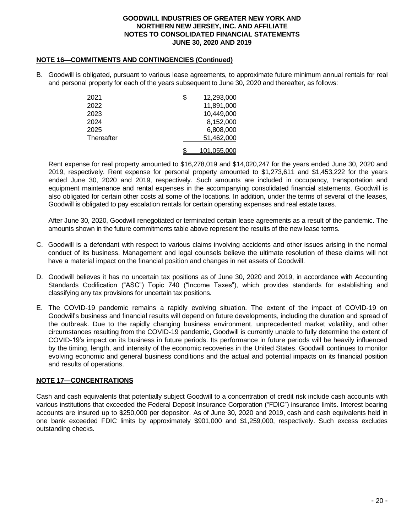#### **NOTE 16—COMMITMENTS AND CONTINGENCIES (Continued)**

B. Goodwill is obligated, pursuant to various lease agreements, to approximate future minimum annual rentals for real and personal property for each of the years subsequent to June 30, 2020 and thereafter, as follows:

| 2021       | S | 12,293,000         |
|------------|---|--------------------|
| 2022       |   | 11,891,000         |
| 2023       |   | 10,449,000         |
| 2024       |   | 8,152,000          |
| 2025       |   | 6,808,000          |
| Thereafter |   | 51,462,000         |
|            |   | <u>101.055.000</u> |

Rent expense for real property amounted to \$16,278,019 and \$14,020,247 for the years ended June 30, 2020 and 2019, respectively. Rent expense for personal property amounted to \$1,273,611 and \$1,453,222 for the years ended June 30, 2020 and 2019, respectively. Such amounts are included in occupancy, transportation and equipment maintenance and rental expenses in the accompanying consolidated financial statements. Goodwill is also obligated for certain other costs at some of the locations. In addition, under the terms of several of the leases, Goodwill is obligated to pay escalation rentals for certain operating expenses and real estate taxes.

After June 30, 2020, Goodwill renegotiated or terminated certain lease agreements as a result of the pandemic. The amounts shown in the future commitments table above represent the results of the new lease terms.

- C. Goodwill is a defendant with respect to various claims involving accidents and other issues arising in the normal conduct of its business. Management and legal counsels believe the ultimate resolution of these claims will not have a material impact on the financial position and changes in net assets of Goodwill.
- D. Goodwill believes it has no uncertain tax positions as of June 30, 2020 and 2019, in accordance with Accounting Standards Codification ("ASC") Topic 740 ("Income Taxes"), which provides standards for establishing and classifying any tax provisions for uncertain tax positions.
- E. The COVID-19 pandemic remains a rapidly evolving situation. The extent of the impact of COVID-19 on Goodwill's business and financial results will depend on future developments, including the duration and spread of the outbreak. Due to the rapidly changing business environment, unprecedented market volatility, and other circumstances resulting from the COVID-19 pandemic, Goodwill is currently unable to fully determine the extent of COVID-19's impact on its business in future periods. Its performance in future periods will be heavily influenced by the timing, length, and intensity of the economic recoveries in the United States. Goodwill continues to monitor evolving economic and general business conditions and the actual and potential impacts on its financial position and results of operations.

### **NOTE 17―CONCENTRATIONS**

Cash and cash equivalents that potentially subject Goodwill to a concentration of credit risk include cash accounts with various institutions that exceeded the Federal Deposit Insurance Corporation ("FDIC") insurance limits. Interest bearing accounts are insured up to \$250,000 per depositor. As of June 30, 2020 and 2019, cash and cash equivalents held in one bank exceeded FDIC limits by approximately \$901,000 and \$1,259,000, respectively. Such excess excludes outstanding checks.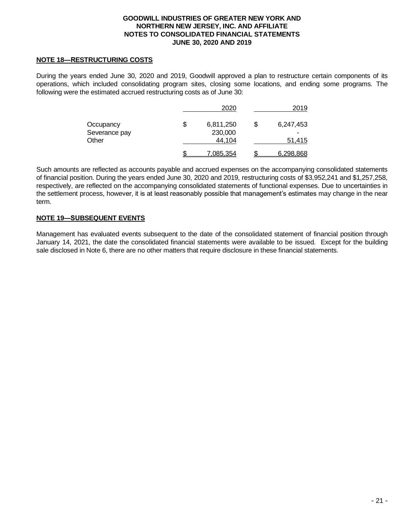#### **NOTE 18―RESTRUCTURING COSTS**

During the years ended June 30, 2020 and 2019, Goodwill approved a plan to restructure certain components of its operations, which included consolidating program sites, closing some locations, and ending some programs. The following were the estimated accrued restructuring costs as of June 30:

|               | 2020            |   | 2019                     |  |  |
|---------------|-----------------|---|--------------------------|--|--|
| Occupancy     | \$<br>6,811,250 | S | 6,247,453                |  |  |
| Severance pay | 230,000         |   | $\overline{\phantom{0}}$ |  |  |
| Other         | 44.104          |   | 51,415                   |  |  |
|               | 7.085.354       |   | 6,298,868                |  |  |

Such amounts are reflected as accounts payable and accrued expenses on the accompanying consolidated statements of financial position. During the years ended June 30, 2020 and 2019, restructuring costs of \$3,952,241 and \$1,257,258, respectively, are reflected on the accompanying consolidated statements of functional expenses. Due to uncertainties in the settlement process, however, it is at least reasonably possible that management's estimates may change in the near term.

# **NOTE 19―SUBSEQUENT EVENTS**

Management has evaluated events subsequent to the date of the consolidated statement of financial position through January 14, 2021, the date the consolidated financial statements were available to be issued. Except for the building sale disclosed in Note 6, there are no other matters that require disclosure in these financial statements.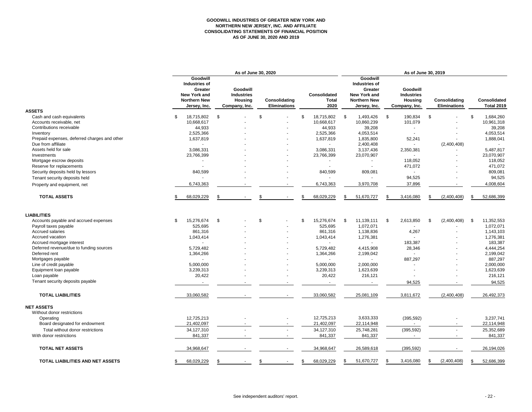# **GOODWILL INDUSTRIES OF GREATER NEW YORK AND NORTHERN NEW JERSEY, INC. AND AFFILIATE CONSOLIDATING STATEMENTS OF FINANCIAL POSITION AS OF JUNE 30, 2020 AND 2019**

|                                              | As of June 30, 2020                                                                                              |                                                                  |                                             |                                             | As of June 30, 2019                                                                                       |                                                                  |                                             |                                          |  |
|----------------------------------------------|------------------------------------------------------------------------------------------------------------------|------------------------------------------------------------------|---------------------------------------------|---------------------------------------------|-----------------------------------------------------------------------------------------------------------|------------------------------------------------------------------|---------------------------------------------|------------------------------------------|--|
| <b>ASSETS</b>                                | <b>Goodwill</b><br><b>Industries of</b><br>Greater<br><b>New York and</b><br><b>Northern New</b><br>Jersey, Inc. | Goodwill<br><b>Industries</b><br><b>Housing</b><br>Company, Inc. | <b>Consolidating</b><br><b>Eliminations</b> | <b>Consolidated</b><br><b>Total</b><br>2020 | Goodwill<br><b>Industries of</b><br>Greater<br><b>New York and</b><br><b>Northern New</b><br>Jersey, Inc. | Goodwill<br><b>Industries</b><br><b>Housing</b><br>Company, Inc. | <b>Consolidating</b><br><b>Eliminations</b> | <b>Consolidated</b><br><b>Total 2019</b> |  |
| Cash and cash equivalents                    | 18,715,802<br>\$.                                                                                                | \$                                                               | \$                                          | 18,715,802<br>£.                            | 1,493,426<br>- \$                                                                                         | $\boldsymbol{\mathsf{S}}$<br>190,834                             | \$                                          | 1,684,260<br>\$                          |  |
| Accounts receivable, net                     | 10,668,617                                                                                                       |                                                                  |                                             | 10,668,617                                  | 10,860,239                                                                                                | 101,079                                                          |                                             | 10,961,318                               |  |
| Contributions receivable                     | 44,933                                                                                                           |                                                                  |                                             | 44,933                                      | 39,208                                                                                                    |                                                                  |                                             | 39,208                                   |  |
| Inventory                                    | 2,525,366                                                                                                        |                                                                  |                                             | 2,525,366                                   | 4,053,514                                                                                                 |                                                                  |                                             | 4,053,514                                |  |
| Prepaid expenses, deferred charges and other | 1,637,819                                                                                                        |                                                                  |                                             | 1,637,819                                   | 1,835,800                                                                                                 | 52,241                                                           |                                             | 1,888,041                                |  |
| Due from affiliate                           |                                                                                                                  |                                                                  |                                             |                                             | 2,400,408                                                                                                 | $\overline{a}$                                                   | (2,400,408)                                 |                                          |  |
| Assets held for sale                         | 3,086,331                                                                                                        |                                                                  |                                             | 3,086,331                                   | 3,137,436                                                                                                 | 2,350,381                                                        |                                             | 5,487,817                                |  |
| Investments                                  | 23,766,399                                                                                                       |                                                                  |                                             | 23,766,399                                  | 23,070,907                                                                                                |                                                                  |                                             | 23,070,907                               |  |
| Mortgage escrow deposits                     |                                                                                                                  |                                                                  |                                             |                                             |                                                                                                           | 118,052                                                          |                                             | 118,052                                  |  |
| Reserve for replacements                     |                                                                                                                  |                                                                  |                                             |                                             |                                                                                                           | 471,072                                                          |                                             | 471,072                                  |  |
| Security deposits held by lessors            | 840,599                                                                                                          |                                                                  |                                             | 840,599                                     | 809,081                                                                                                   |                                                                  |                                             | 809,081                                  |  |
| Tenant security deposits held                |                                                                                                                  |                                                                  |                                             |                                             |                                                                                                           | 94,525                                                           |                                             | 94,525                                   |  |
| Property and equipment, net                  | 6,743,363                                                                                                        |                                                                  |                                             | 6,743,363                                   | 3,970,708                                                                                                 | 37,896                                                           |                                             | 4,008,604                                |  |
| <b>TOTAL ASSETS</b>                          | 68,029,229                                                                                                       | S.                                                               | \$                                          | 68,029,229<br>\$                            | 51,670,727                                                                                                | 3,416,080<br>-S                                                  | (2,400,408)<br>S.                           | \$<br>52,686,399                         |  |
| <b>LIABILITIES</b>                           |                                                                                                                  |                                                                  |                                             |                                             |                                                                                                           |                                                                  |                                             |                                          |  |
| Accounts payable and accrued expenses        | 15,276,674<br>\$                                                                                                 | \$                                                               | \$<br>$\sim$                                | 15,276,674<br>\$                            | 11,139,111<br>- \$                                                                                        | 2,613,850<br>\$                                                  | (2,400,408)<br>- \$                         | 11,352,553<br>\$                         |  |
| Payroll taxes payable                        | 525,695                                                                                                          |                                                                  |                                             | 525,695                                     | 1,072,071                                                                                                 |                                                                  |                                             | 1,072,071                                |  |
| Accrued salaries                             | 861,316                                                                                                          |                                                                  |                                             | 861,316                                     | 1,138,836                                                                                                 | 4,267                                                            |                                             | 1,143,103                                |  |
| Accrued vacation                             | 1,043,414                                                                                                        |                                                                  |                                             | 1,043,414                                   | 1,276,381                                                                                                 |                                                                  |                                             | 1,276,381                                |  |
| Accrued mortgage interest                    |                                                                                                                  |                                                                  |                                             |                                             |                                                                                                           | 183,387                                                          |                                             | 183,387                                  |  |
| Deferred revenue/due to funding sources      | 5,729,482                                                                                                        |                                                                  |                                             | 5,729,482                                   | 4,415,908                                                                                                 | 28,346                                                           |                                             | 4,444,254                                |  |
| Deferred rent                                | 1,364,266                                                                                                        |                                                                  |                                             | 1,364,266                                   | 2,199,042                                                                                                 |                                                                  |                                             | 2,199,042                                |  |
| Mortgages payable                            |                                                                                                                  |                                                                  |                                             |                                             |                                                                                                           | 887,297                                                          |                                             | 887,297                                  |  |
| Line of credit payable                       | 5,000,000                                                                                                        |                                                                  |                                             | 5,000,000                                   | 2,000,000                                                                                                 |                                                                  |                                             | 2,000,000                                |  |
| Equipment loan payable                       | 3,239,313                                                                                                        |                                                                  |                                             | 3,239,313                                   | 1,623,639                                                                                                 |                                                                  |                                             | 1,623,639                                |  |
| Loan payable                                 | 20,422                                                                                                           |                                                                  |                                             | 20,422                                      | 216,121                                                                                                   |                                                                  |                                             | 216,121                                  |  |
| Tenant security deposits payable             |                                                                                                                  |                                                                  |                                             |                                             |                                                                                                           | 94,525                                                           |                                             | 94,525                                   |  |
| <b>TOTAL LIABILITIES</b>                     | 33,060,582                                                                                                       |                                                                  |                                             | 33,060,582                                  | 25,081,109                                                                                                | 3,811,672                                                        | (2,400,408)                                 | 26,492,373                               |  |
| <b>NET ASSETS</b>                            |                                                                                                                  |                                                                  |                                             |                                             |                                                                                                           |                                                                  |                                             |                                          |  |
| Without donor restrictions                   |                                                                                                                  |                                                                  |                                             |                                             |                                                                                                           |                                                                  |                                             |                                          |  |
| Operating                                    | 12,725,213                                                                                                       |                                                                  |                                             | 12,725,213                                  | 3,633,333                                                                                                 | (395, 592)                                                       |                                             | 3,237,741                                |  |
| Board designated for endowment               | 21,402,097                                                                                                       |                                                                  |                                             | 21,402,097                                  | 22,114,948                                                                                                |                                                                  |                                             | 22,114,948                               |  |
| Total without donor restrictions             | 34,127,310                                                                                                       |                                                                  |                                             | 34,127,310                                  | 25,748,281                                                                                                | (395, 592)                                                       |                                             | 25,352,689                               |  |
| With donor restrictions                      | 841,337                                                                                                          |                                                                  |                                             | 841,337                                     | 841,337                                                                                                   |                                                                  |                                             | 841,337                                  |  |
| <b>TOTAL NET ASSETS</b>                      | 34,968,647                                                                                                       |                                                                  |                                             | 34,968,647                                  | 26,589,618                                                                                                | (395, 592)                                                       |                                             | 26,194,026                               |  |
| TOTAL LIABILITIES AND NET ASSETS             | 68,029,229                                                                                                       | 95                                                               |                                             | 68,029,229                                  | 51,670,727<br>\$                                                                                          | 3,416,080                                                        | (2,400,408)<br>- \$                         | 52,686,399<br>\$                         |  |